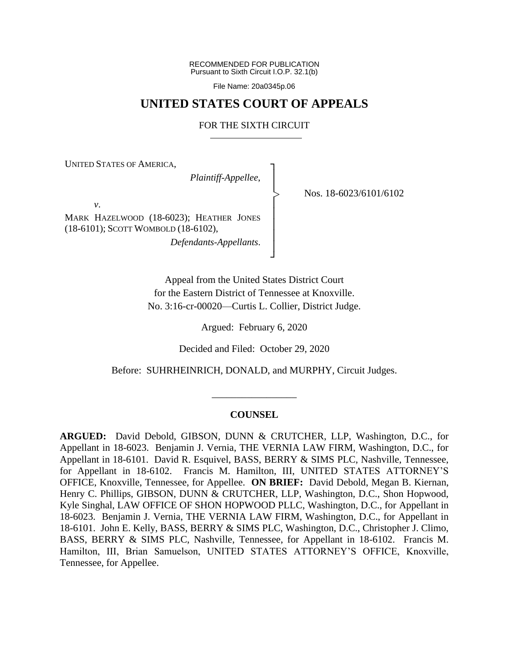RECOMMENDED FOR PUBLICATION Pursuant to Sixth Circuit I.O.P. 32.1(b)

File Name: 20a0345p.06

# **UNITED STATES COURT OF APPEALS**

# FOR THE SIXTH CIRCUIT

┐ │ │ │ │ │ │ │ ┘

|<br>|<br>|

UNITED STATES OF AMERICA,

*Plaintiff-Appellee*,

Nos. 18-6023/6101/6102

*v*.

MARK HAZELWOOD (18-6023); HEATHER JONES (18-6101); SCOTT WOMBOLD (18-6102), *Defendants-Appellants*.

> Appeal from the United States District Court for the Eastern District of Tennessee at Knoxville. No. 3:16-cr-00020—Curtis L. Collier, District Judge.

> > Argued: February 6, 2020

Decided and Filed: October 29, 2020

Before: SUHRHEINRICH, DONALD, and MURPHY, Circuit Judges.

\_\_\_\_\_\_\_\_\_\_\_\_\_\_\_\_\_

#### **COUNSEL**

**ARGUED:** David Debold, GIBSON, DUNN & CRUTCHER, LLP, Washington, D.C., for Appellant in 18-6023. Benjamin J. Vernia, THE VERNIA LAW FIRM, Washington, D.C., for Appellant in 18-6101. David R. Esquivel, BASS, BERRY & SIMS PLC, Nashville, Tennessee, for Appellant in 18-6102. Francis M. Hamilton, III, UNITED STATES ATTORNEY'S OFFICE, Knoxville, Tennessee, for Appellee. **ON BRIEF:** David Debold, Megan B. Kiernan, Henry C. Phillips, GIBSON, DUNN & CRUTCHER, LLP, Washington, D.C., Shon Hopwood, Kyle Singhal, LAW OFFICE OF SHON HOPWOOD PLLC, Washington, D.C., for Appellant in 18-6023. Benjamin J. Vernia, THE VERNIA LAW FIRM, Washington, D.C., for Appellant in 18-6101. John E. Kelly, BASS, BERRY & SIMS PLC, Washington, D.C., Christopher J. Climo, BASS, BERRY & SIMS PLC, Nashville, Tennessee, for Appellant in 18-6102. Francis M. Hamilton, III, Brian Samuelson, UNITED STATES ATTORNEY'S OFFICE, Knoxville, Tennessee, for Appellee.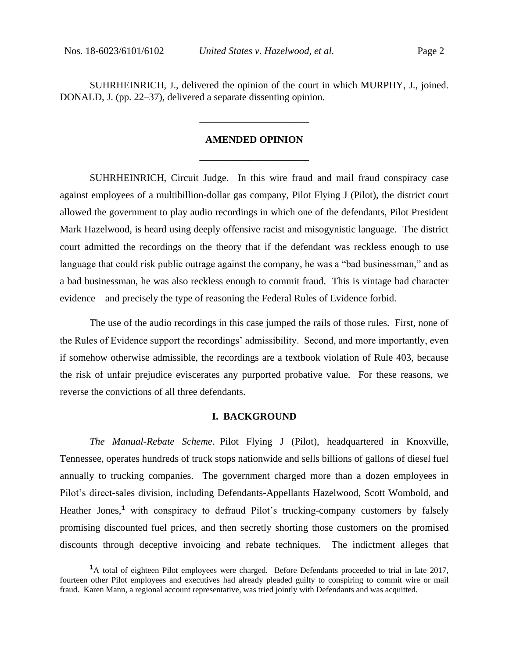SUHRHEINRICH, J., delivered the opinion of the court in which MURPHY, J., joined. DONALD, J. (pp. 22–37), delivered a separate dissenting opinion.

# **AMENDED OPINION** \_\_\_\_\_\_\_\_\_\_\_\_\_\_\_\_\_\_\_\_\_\_

\_\_\_\_\_\_\_\_\_\_\_\_\_\_\_\_\_\_\_\_\_\_

SUHRHEINRICH, Circuit Judge. In this wire fraud and mail fraud conspiracy case against employees of a multibillion-dollar gas company, Pilot Flying J (Pilot), the district court allowed the government to play audio recordings in which one of the defendants, Pilot President Mark Hazelwood, is heard using deeply offensive racist and misogynistic language. The district court admitted the recordings on the theory that if the defendant was reckless enough to use language that could risk public outrage against the company, he was a "bad businessman," and as a bad businessman, he was also reckless enough to commit fraud. This is vintage bad character evidence—and precisely the type of reasoning the Federal Rules of Evidence forbid.

The use of the audio recordings in this case jumped the rails of those rules. First, none of the Rules of Evidence support the recordings' admissibility. Second, and more importantly, even if somehow otherwise admissible, the recordings are a textbook violation of Rule 403, because the risk of unfair prejudice eviscerates any purported probative value. For these reasons, we reverse the convictions of all three defendants.

### **I. BACKGROUND**

*The Manual-Rebate Scheme.* Pilot Flying J (Pilot), headquartered in Knoxville, Tennessee, operates hundreds of truck stops nationwide and sells billions of gallons of diesel fuel annually to trucking companies. The government charged more than a dozen employees in Pilot's direct-sales division, including Defendants-Appellants Hazelwood, Scott Wombold, and Heather Jones,<sup>1</sup> with conspiracy to defraud Pilot's trucking-company customers by falsely promising discounted fuel prices, and then secretly shorting those customers on the promised discounts through deceptive invoicing and rebate techniques. The indictment alleges that

**<sup>1</sup>**A total of eighteen Pilot employees were charged. Before Defendants proceeded to trial in late 2017, fourteen other Pilot employees and executives had already pleaded guilty to conspiring to commit wire or mail fraud. Karen Mann, a regional account representative, was tried jointly with Defendants and was acquitted.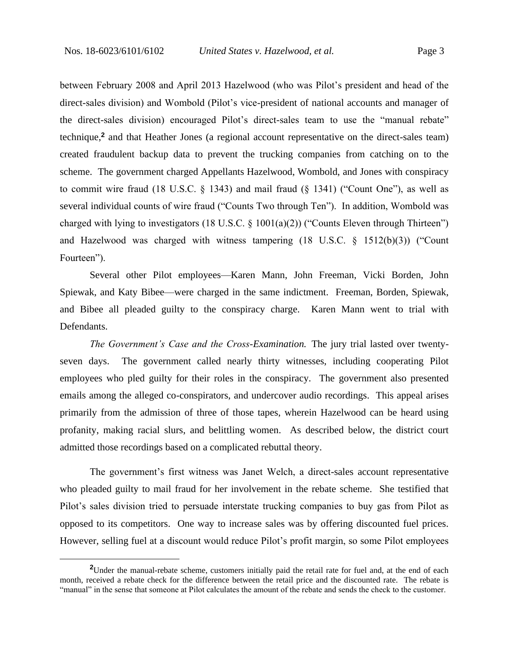between February 2008 and April 2013 Hazelwood (who was Pilot's president and head of the direct-sales division) and Wombold (Pilot's vice-president of national accounts and manager of the direct-sales division) encouraged Pilot's direct-sales team to use the "manual rebate" technique,**<sup>2</sup>** and that Heather Jones (a regional account representative on the direct-sales team) created fraudulent backup data to prevent the trucking companies from catching on to the scheme. The government charged Appellants Hazelwood, Wombold, and Jones with conspiracy to commit wire fraud  $(18 \text{ U.S.C. } § 1343)$  and mail fraud  $(§ 1341)$  ("Count One"), as well as several individual counts of wire fraud ("Counts Two through Ten"). In addition, Wombold was charged with lying to investigators (18 U.S.C.  $\S$  1001(a)(2)) ("Counts Eleven through Thirteen") and Hazelwood was charged with witness tampering (18 U.S.C. § 1512(b)(3)) ("Count Fourteen").

Several other Pilot employees—Karen Mann, John Freeman, Vicki Borden, John Spiewak, and Katy Bibee—were charged in the same indictment. Freeman, Borden, Spiewak, and Bibee all pleaded guilty to the conspiracy charge. Karen Mann went to trial with Defendants.

*The Government's Case and the Cross-Examination.* The jury trial lasted over twentyseven days. The government called nearly thirty witnesses, including cooperating Pilot employees who pled guilty for their roles in the conspiracy. The government also presented emails among the alleged co-conspirators, and undercover audio recordings. This appeal arises primarily from the admission of three of those tapes, wherein Hazelwood can be heard using profanity, making racial slurs, and belittling women. As described below, the district court admitted those recordings based on a complicated rebuttal theory.

The government's first witness was Janet Welch, a direct-sales account representative who pleaded guilty to mail fraud for her involvement in the rebate scheme. She testified that Pilot's sales division tried to persuade interstate trucking companies to buy gas from Pilot as opposed to its competitors. One way to increase sales was by offering discounted fuel prices. However, selling fuel at a discount would reduce Pilot's profit margin, so some Pilot employees

**<sup>2</sup>**Under the manual-rebate scheme, customers initially paid the retail rate for fuel and, at the end of each month, received a rebate check for the difference between the retail price and the discounted rate. The rebate is "manual" in the sense that someone at Pilot calculates the amount of the rebate and sends the check to the customer.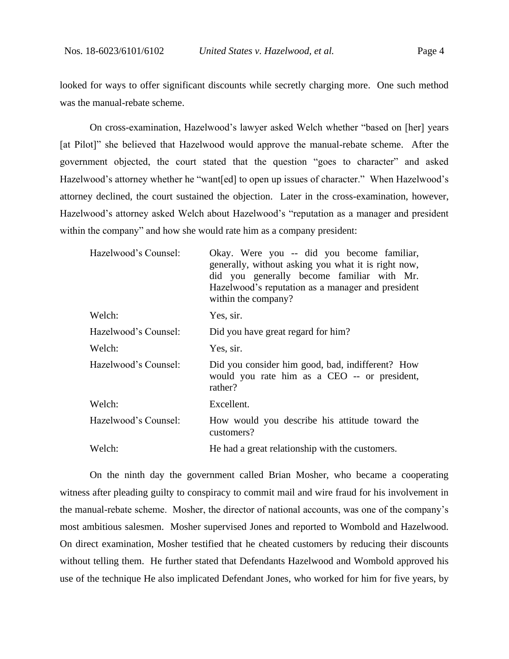looked for ways to offer significant discounts while secretly charging more. One such method was the manual-rebate scheme.

On cross-examination, Hazelwood's lawyer asked Welch whether "based on [her] years [at Pilot]" she believed that Hazelwood would approve the manual-rebate scheme. After the government objected, the court stated that the question "goes to character" and asked Hazelwood's attorney whether he "want[ed] to open up issues of character." When Hazelwood's attorney declined, the court sustained the objection. Later in the cross-examination, however, Hazelwood's attorney asked Welch about Hazelwood's "reputation as a manager and president within the company" and how she would rate him as a company president:

| Hazelwood's Counsel: | Okay. Were you -- did you become familiar,<br>generally, without asking you what it is right now,<br>did you generally become familiar with Mr.<br>Hazelwood's reputation as a manager and president<br>within the company? |
|----------------------|-----------------------------------------------------------------------------------------------------------------------------------------------------------------------------------------------------------------------------|
| Welch:               | Yes, sir.                                                                                                                                                                                                                   |
| Hazelwood's Counsel: | Did you have great regard for him?                                                                                                                                                                                          |
| Welch:               | Yes, sir.                                                                                                                                                                                                                   |
| Hazelwood's Counsel: | Did you consider him good, bad, indifferent? How<br>would you rate him as a CEO -- or president,<br>rather?                                                                                                                 |
| Welch:               | Excellent.                                                                                                                                                                                                                  |
| Hazelwood's Counsel: | How would you describe his attitude toward the<br>customers?                                                                                                                                                                |
| Welch:               | He had a great relationship with the customers.                                                                                                                                                                             |

On the ninth day the government called Brian Mosher, who became a cooperating witness after pleading guilty to conspiracy to commit mail and wire fraud for his involvement in the manual-rebate scheme. Mosher, the director of national accounts, was one of the company's most ambitious salesmen. Mosher supervised Jones and reported to Wombold and Hazelwood. On direct examination, Mosher testified that he cheated customers by reducing their discounts without telling them. He further stated that Defendants Hazelwood and Wombold approved his use of the technique He also implicated Defendant Jones, who worked for him for five years, by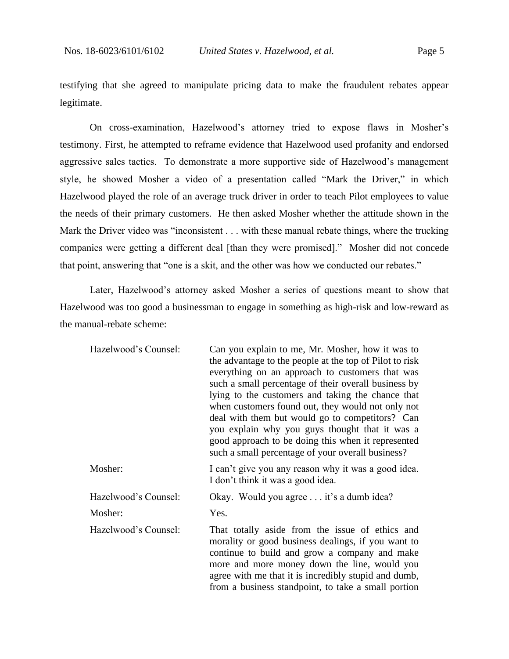testifying that she agreed to manipulate pricing data to make the fraudulent rebates appear legitimate.

On cross-examination, Hazelwood's attorney tried to expose flaws in Mosher's testimony. First, he attempted to reframe evidence that Hazelwood used profanity and endorsed aggressive sales tactics. To demonstrate a more supportive side of Hazelwood's management style, he showed Mosher a video of a presentation called "Mark the Driver," in which Hazelwood played the role of an average truck driver in order to teach Pilot employees to value the needs of their primary customers. He then asked Mosher whether the attitude shown in the Mark the Driver video was "inconsistent . . . with these manual rebate things, where the trucking companies were getting a different deal [than they were promised]." Mosher did not concede that point, answering that "one is a skit, and the other was how we conducted our rebates."

Later, Hazelwood's attorney asked Mosher a series of questions meant to show that Hazelwood was too good a businessman to engage in something as high-risk and low-reward as the manual-rebate scheme:

| Hazelwood's Counsel: | Can you explain to me, Mr. Mosher, how it was to<br>the advantage to the people at the top of Pilot to risk<br>everything on an approach to customers that was<br>such a small percentage of their overall business by<br>lying to the customers and taking the chance that<br>when customers found out, they would not only not<br>deal with them but would go to competitors? Can<br>you explain why you guys thought that it was a<br>good approach to be doing this when it represented<br>such a small percentage of your overall business? |
|----------------------|--------------------------------------------------------------------------------------------------------------------------------------------------------------------------------------------------------------------------------------------------------------------------------------------------------------------------------------------------------------------------------------------------------------------------------------------------------------------------------------------------------------------------------------------------|
| Mosher:              | I can't give you any reason why it was a good idea.<br>I don't think it was a good idea.                                                                                                                                                                                                                                                                                                                                                                                                                                                         |
| Hazelwood's Counsel: | Okay. Would you agree it's a dumb idea?                                                                                                                                                                                                                                                                                                                                                                                                                                                                                                          |
| Mosher:              | Yes.                                                                                                                                                                                                                                                                                                                                                                                                                                                                                                                                             |
| Hazelwood's Counsel: | That totally aside from the issue of ethics and<br>morality or good business dealings, if you want to<br>continue to build and grow a company and make<br>more and more money down the line, would you<br>agree with me that it is incredibly stupid and dumb,<br>from a business standpoint, to take a small portion                                                                                                                                                                                                                            |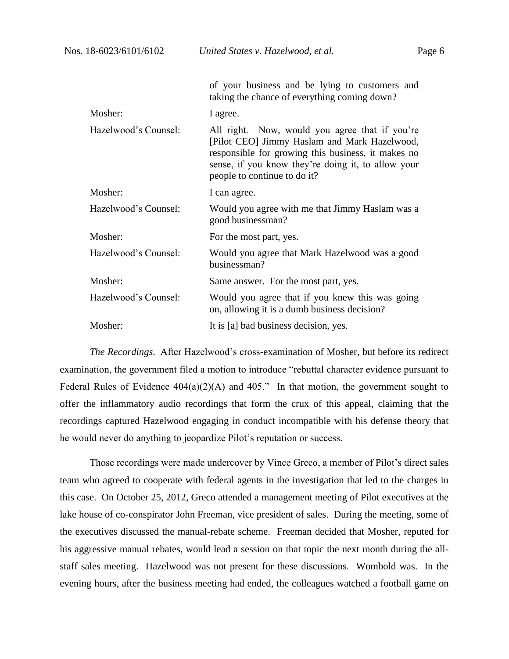|                      | of your business and be lying to customers and<br>taking the chance of everything coming down?                                                                                                                                             |
|----------------------|--------------------------------------------------------------------------------------------------------------------------------------------------------------------------------------------------------------------------------------------|
| Mosher:              | I agree.                                                                                                                                                                                                                                   |
| Hazelwood's Counsel: | All right. Now, would you agree that if you're<br>[Pilot CEO] Jimmy Haslam and Mark Hazelwood,<br>responsible for growing this business, it makes no<br>sense, if you know they're doing it, to allow your<br>people to continue to do it? |
| Mosher:              | I can agree.                                                                                                                                                                                                                               |
| Hazelwood's Counsel: | Would you agree with me that Jimmy Haslam was a<br>good businessman?                                                                                                                                                                       |
| Mosher:              | For the most part, yes.                                                                                                                                                                                                                    |
| Hazelwood's Counsel: | Would you agree that Mark Hazelwood was a good<br>businessman?                                                                                                                                                                             |
| Mosher:              | Same answer. For the most part, yes.                                                                                                                                                                                                       |
| Hazelwood's Counsel: | Would you agree that if you knew this was going<br>on, allowing it is a dumb business decision?                                                                                                                                            |
| Mosher:              | It is [a] bad business decision, yes.                                                                                                                                                                                                      |

*The Recordings.* After Hazelwood's cross-examination of Mosher, but before its redirect examination, the government filed a motion to introduce "rebuttal character evidence pursuant to Federal Rules of Evidence  $404(a)(2)(A)$  and  $405$ ." In that motion, the government sought to offer the inflammatory audio recordings that form the crux of this appeal, claiming that the recordings captured Hazelwood engaging in conduct incompatible with his defense theory that he would never do anything to jeopardize Pilot's reputation or success.

Those recordings were made undercover by Vince Greco, a member of Pilot's direct sales team who agreed to cooperate with federal agents in the investigation that led to the charges in this case. On October 25, 2012, Greco attended a management meeting of Pilot executives at the lake house of co-conspirator John Freeman, vice president of sales. During the meeting, some of the executives discussed the manual-rebate scheme. Freeman decided that Mosher, reputed for his aggressive manual rebates, would lead a session on that topic the next month during the allstaff sales meeting. Hazelwood was not present for these discussions. Wombold was. In the evening hours, after the business meeting had ended, the colleagues watched a football game on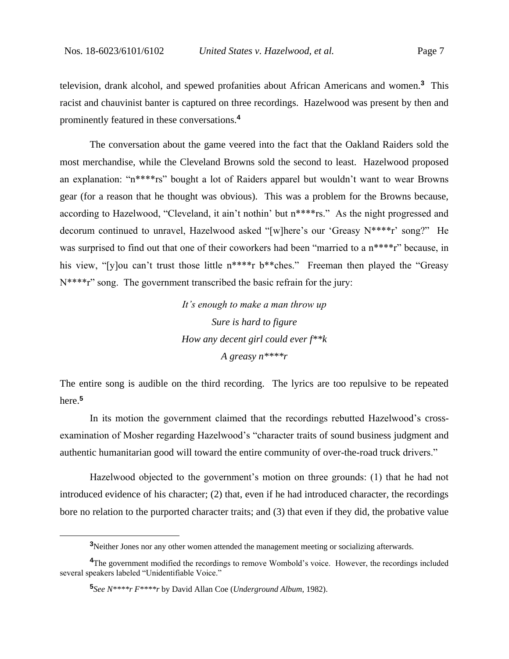television, drank alcohol, and spewed profanities about African Americans and women.**<sup>3</sup>** This racist and chauvinist banter is captured on three recordings. Hazelwood was present by then and prominently featured in these conversations.**<sup>4</sup>**

The conversation about the game veered into the fact that the Oakland Raiders sold the most merchandise, while the Cleveland Browns sold the second to least. Hazelwood proposed an explanation: "n\*\*\*\*rs" bought a lot of Raiders apparel but wouldn't want to wear Browns gear (for a reason that he thought was obvious). This was a problem for the Browns because, according to Hazelwood, "Cleveland, it ain't nothin' but n\*\*\*\*rs." As the night progressed and decorum continued to unravel, Hazelwood asked "[w]here's our 'Greasy N\*\*\*\*r' song?" He was surprised to find out that one of their coworkers had been "married to a n\*\*\*\*r" because, in his view, "[y]ou can't trust those little n\*\*\*\*r b\*\*ches." Freeman then played the "Greasy N\*\*\*\*r" song. The government transcribed the basic refrain for the jury:

> *It's enough to make a man throw up Sure is hard to figure How any decent girl could ever f\*\*k A greasy n\*\*\*\*r*

The entire song is audible on the third recording. The lyrics are too repulsive to be repeated here.**<sup>5</sup>**

In its motion the government claimed that the recordings rebutted Hazelwood's crossexamination of Mosher regarding Hazelwood's "character traits of sound business judgment and authentic humanitarian good will toward the entire community of over-the-road truck drivers."

Hazelwood objected to the government's motion on three grounds: (1) that he had not introduced evidence of his character; (2) that, even if he had introduced character, the recordings bore no relation to the purported character traits; and (3) that even if they did, the probative value

**<sup>3</sup>**Neither Jones nor any other women attended the management meeting or socializing afterwards.

<sup>&</sup>lt;sup>4</sup>The government modified the recordings to remove Wombold's voice. However, the recordings included several speakers labeled "Unidentifiable Voice."

**<sup>5</sup>** *See N\*\*\*\*r F\*\*\*\*r* by David Allan Coe (*Underground Album*, 1982).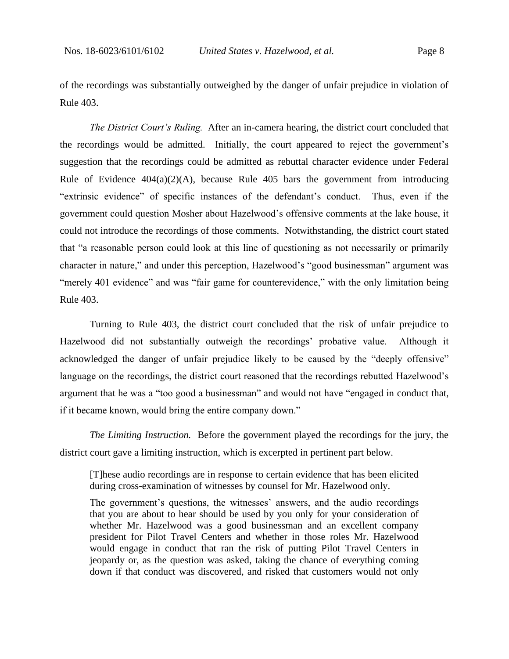of the recordings was substantially outweighed by the danger of unfair prejudice in violation of Rule 403.

*The District Court's Ruling.* After an in-camera hearing, the district court concluded that the recordings would be admitted. Initially, the court appeared to reject the government's suggestion that the recordings could be admitted as rebuttal character evidence under Federal Rule of Evidence  $404(a)(2)(A)$ , because Rule 405 bars the government from introducing "extrinsic evidence" of specific instances of the defendant's conduct. Thus, even if the government could question Mosher about Hazelwood's offensive comments at the lake house, it could not introduce the recordings of those comments. Notwithstanding, the district court stated that "a reasonable person could look at this line of questioning as not necessarily or primarily character in nature," and under this perception, Hazelwood's "good businessman" argument was "merely 401 evidence" and was "fair game for counterevidence," with the only limitation being Rule 403.

Turning to Rule 403, the district court concluded that the risk of unfair prejudice to Hazelwood did not substantially outweigh the recordings' probative value. Although it acknowledged the danger of unfair prejudice likely to be caused by the "deeply offensive" language on the recordings, the district court reasoned that the recordings rebutted Hazelwood's argument that he was a "too good a businessman" and would not have "engaged in conduct that, if it became known, would bring the entire company down."

*The Limiting Instruction.* Before the government played the recordings for the jury, the district court gave a limiting instruction, which is excerpted in pertinent part below.

[T]hese audio recordings are in response to certain evidence that has been elicited during cross-examination of witnesses by counsel for Mr. Hazelwood only.

The government's questions, the witnesses' answers, and the audio recordings that you are about to hear should be used by you only for your consideration of whether Mr. Hazelwood was a good businessman and an excellent company president for Pilot Travel Centers and whether in those roles Mr. Hazelwood would engage in conduct that ran the risk of putting Pilot Travel Centers in jeopardy or, as the question was asked, taking the chance of everything coming down if that conduct was discovered, and risked that customers would not only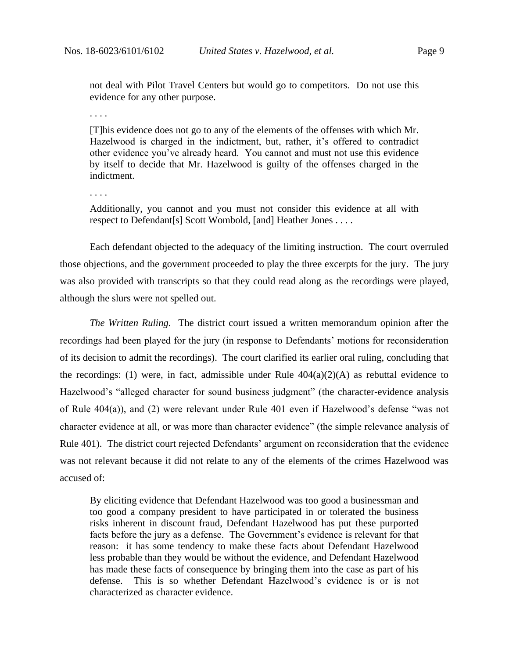not deal with Pilot Travel Centers but would go to competitors. Do not use this evidence for any other purpose.

. . . .

[T]his evidence does not go to any of the elements of the offenses with which Mr. Hazelwood is charged in the indictment, but, rather, it's offered to contradict other evidence you've already heard. You cannot and must not use this evidence by itself to decide that Mr. Hazelwood is guilty of the offenses charged in the indictment.

. . . .

Additionally, you cannot and you must not consider this evidence at all with respect to Defendant[s] Scott Wombold, [and] Heather Jones . . . .

Each defendant objected to the adequacy of the limiting instruction. The court overruled those objections, and the government proceeded to play the three excerpts for the jury. The jury was also provided with transcripts so that they could read along as the recordings were played, although the slurs were not spelled out.

*The Written Ruling.* The district court issued a written memorandum opinion after the recordings had been played for the jury (in response to Defendants' motions for reconsideration of its decision to admit the recordings). The court clarified its earlier oral ruling, concluding that the recordings: (1) were, in fact, admissible under Rule  $404(a)(2)(A)$  as rebuttal evidence to Hazelwood's "alleged character for sound business judgment" (the character-evidence analysis of Rule 404(a)), and (2) were relevant under Rule 401 even if Hazelwood's defense "was not character evidence at all, or was more than character evidence" (the simple relevance analysis of Rule 401). The district court rejected Defendants' argument on reconsideration that the evidence was not relevant because it did not relate to any of the elements of the crimes Hazelwood was accused of:

By eliciting evidence that Defendant Hazelwood was too good a businessman and too good a company president to have participated in or tolerated the business risks inherent in discount fraud, Defendant Hazelwood has put these purported facts before the jury as a defense. The Government's evidence is relevant for that reason: it has some tendency to make these facts about Defendant Hazelwood less probable than they would be without the evidence, and Defendant Hazelwood has made these facts of consequence by bringing them into the case as part of his defense. This is so whether Defendant Hazelwood's evidence is or is not characterized as character evidence.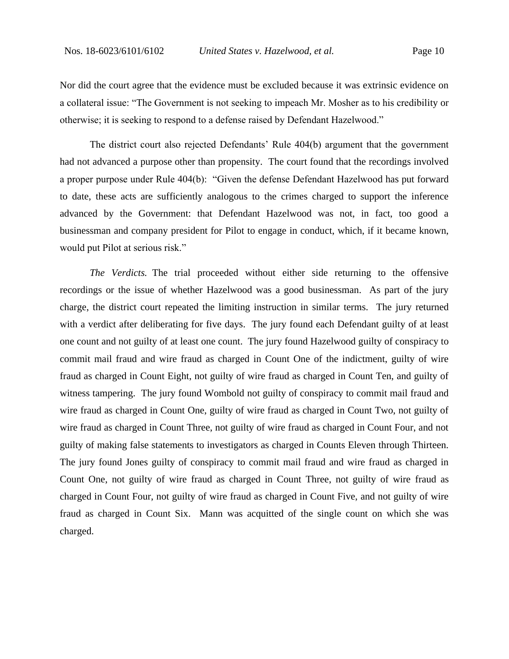Nor did the court agree that the evidence must be excluded because it was extrinsic evidence on a collateral issue: "The Government is not seeking to impeach Mr. Mosher as to his credibility or otherwise; it is seeking to respond to a defense raised by Defendant Hazelwood."

The district court also rejected Defendants' Rule 404(b) argument that the government had not advanced a purpose other than propensity. The court found that the recordings involved a proper purpose under Rule 404(b): "Given the defense Defendant Hazelwood has put forward to date, these acts are sufficiently analogous to the crimes charged to support the inference advanced by the Government: that Defendant Hazelwood was not, in fact, too good a businessman and company president for Pilot to engage in conduct, which, if it became known, would put Pilot at serious risk."

*The Verdicts.* The trial proceeded without either side returning to the offensive recordings or the issue of whether Hazelwood was a good businessman. As part of the jury charge, the district court repeated the limiting instruction in similar terms. The jury returned with a verdict after deliberating for five days. The jury found each Defendant guilty of at least one count and not guilty of at least one count. The jury found Hazelwood guilty of conspiracy to commit mail fraud and wire fraud as charged in Count One of the indictment, guilty of wire fraud as charged in Count Eight, not guilty of wire fraud as charged in Count Ten, and guilty of witness tampering. The jury found Wombold not guilty of conspiracy to commit mail fraud and wire fraud as charged in Count One, guilty of wire fraud as charged in Count Two, not guilty of wire fraud as charged in Count Three, not guilty of wire fraud as charged in Count Four, and not guilty of making false statements to investigators as charged in Counts Eleven through Thirteen. The jury found Jones guilty of conspiracy to commit mail fraud and wire fraud as charged in Count One, not guilty of wire fraud as charged in Count Three, not guilty of wire fraud as charged in Count Four, not guilty of wire fraud as charged in Count Five, and not guilty of wire fraud as charged in Count Six. Mann was acquitted of the single count on which she was charged.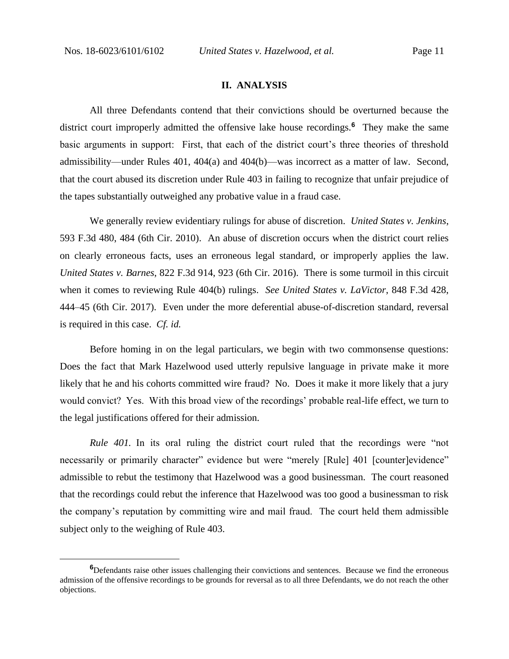#### **II. ANALYSIS**

All three Defendants contend that their convictions should be overturned because the district court improperly admitted the offensive lake house recordings.**<sup>6</sup>** They make the same basic arguments in support: First, that each of the district court's three theories of threshold admissibility—under Rules 401, 404(a) and 404(b)—was incorrect as a matter of law. Second, that the court abused its discretion under Rule 403 in failing to recognize that unfair prejudice of the tapes substantially outweighed any probative value in a fraud case.

We generally review evidentiary rulings for abuse of discretion. *United States v. Jenkins*, 593 F.3d 480, 484 (6th Cir. 2010). An abuse of discretion occurs when the district court relies on clearly erroneous facts, uses an erroneous legal standard, or improperly applies the law. *United States v. Barnes*, 822 F.3d 914, 923 (6th Cir. 2016). There is some turmoil in this circuit when it comes to reviewing Rule 404(b) rulings. *See United States v. LaVictor*, 848 F.3d 428, 444–45 (6th Cir. 2017). Even under the more deferential abuse-of-discretion standard, reversal is required in this case. *Cf. id.*

Before homing in on the legal particulars, we begin with two commonsense questions: Does the fact that Mark Hazelwood used utterly repulsive language in private make it more likely that he and his cohorts committed wire fraud? No. Does it make it more likely that a jury would convict? Yes. With this broad view of the recordings' probable real-life effect, we turn to the legal justifications offered for their admission.

*Rule 401.* In its oral ruling the district court ruled that the recordings were "not necessarily or primarily character" evidence but were "merely [Rule] 401 [counter]evidence" admissible to rebut the testimony that Hazelwood was a good businessman. The court reasoned that the recordings could rebut the inference that Hazelwood was too good a businessman to risk the company's reputation by committing wire and mail fraud. The court held them admissible subject only to the weighing of Rule 403.

**<sup>6</sup>**Defendants raise other issues challenging their convictions and sentences. Because we find the erroneous admission of the offensive recordings to be grounds for reversal as to all three Defendants, we do not reach the other objections.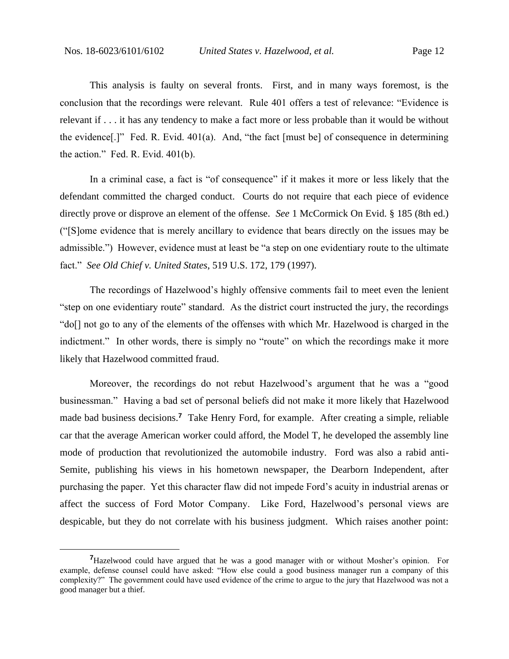This analysis is faulty on several fronts. First, and in many ways foremost, is the conclusion that the recordings were relevant. Rule 401 offers a test of relevance: "Evidence is relevant if . . . it has any tendency to make a fact more or less probable than it would be without the evidence[.]" Fed. R. Evid. 401(a). And, "the fact [must be] of consequence in determining the action." Fed. R. Evid. 401(b).

In a criminal case, a fact is "of consequence" if it makes it more or less likely that the defendant committed the charged conduct. Courts do not require that each piece of evidence directly prove or disprove an element of the offense. *See* 1 McCormick On Evid. § 185 (8th ed.) ("[S]ome evidence that is merely ancillary to evidence that bears directly on the issues may be admissible.") However, evidence must at least be "a step on one evidentiary route to the ultimate fact." *See Old Chief v. United States*, 519 U.S. 172, 179 (1997).

The recordings of Hazelwood's highly offensive comments fail to meet even the lenient "step on one evidentiary route" standard. As the district court instructed the jury, the recordings "do[] not go to any of the elements of the offenses with which Mr. Hazelwood is charged in the indictment." In other words, there is simply no "route" on which the recordings make it more likely that Hazelwood committed fraud.

Moreover, the recordings do not rebut Hazelwood's argument that he was a "good businessman." Having a bad set of personal beliefs did not make it more likely that Hazelwood made bad business decisions.**<sup>7</sup>** Take Henry Ford, for example. After creating a simple, reliable car that the average American worker could afford, the Model T, he developed the assembly line mode of production that revolutionized the automobile industry. Ford was also a rabid anti-Semite, publishing his views in his hometown newspaper, the Dearborn Independent, after purchasing the paper. Yet this character flaw did not impede Ford's acuity in industrial arenas or affect the success of Ford Motor Company. Like Ford, Hazelwood's personal views are despicable, but they do not correlate with his business judgment. Which raises another point:

**<sup>7</sup>**Hazelwood could have argued that he was a good manager with or without Mosher's opinion. For example, defense counsel could have asked: "How else could a good business manager run a company of this complexity?" The government could have used evidence of the crime to argue to the jury that Hazelwood was not a good manager but a thief.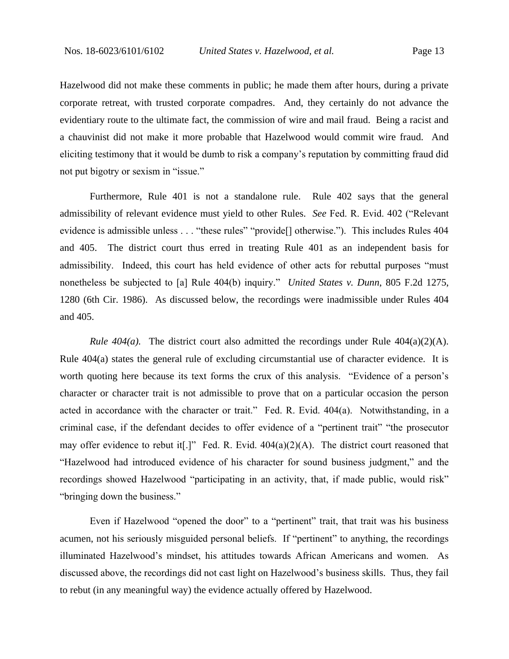Hazelwood did not make these comments in public; he made them after hours, during a private corporate retreat, with trusted corporate compadres. And, they certainly do not advance the evidentiary route to the ultimate fact, the commission of wire and mail fraud. Being a racist and a chauvinist did not make it more probable that Hazelwood would commit wire fraud. And eliciting testimony that it would be dumb to risk a company's reputation by committing fraud did not put bigotry or sexism in "issue."

Furthermore, Rule 401 is not a standalone rule. Rule 402 says that the general admissibility of relevant evidence must yield to other Rules. *See* Fed. R. Evid. 402 ("Relevant evidence is admissible unless . . . "these rules" "provide<sup>[]</sup> otherwise."). This includes Rules 404 and 405. The district court thus erred in treating Rule 401 as an independent basis for admissibility. Indeed, this court has held evidence of other acts for rebuttal purposes "must nonetheless be subjected to [a] Rule 404(b) inquiry." *United States v. Dunn*, 805 F.2d 1275, 1280 (6th Cir. 1986). As discussed below, the recordings were inadmissible under Rules 404 and 405.

*Rule 404(a).* The district court also admitted the recordings under Rule 404(a)(2)(A). Rule 404(a) states the general rule of excluding circumstantial use of character evidence. It is worth quoting here because its text forms the crux of this analysis. "Evidence of a person's character or character trait is not admissible to prove that on a particular occasion the person acted in accordance with the character or trait." Fed. R. Evid.  $404(a)$ . Notwithstanding, in a criminal case, if the defendant decides to offer evidence of a "pertinent trait" "the prosecutor may offer evidence to rebut it [.]" Fed. R. Evid.  $404(a)(2)(A)$ . The district court reasoned that "Hazelwood had introduced evidence of his character for sound business judgment," and the recordings showed Hazelwood "participating in an activity, that, if made public, would risk" "bringing down the business."

Even if Hazelwood "opened the door" to a "pertinent" trait, that trait was his business acumen, not his seriously misguided personal beliefs. If "pertinent" to anything, the recordings illuminated Hazelwood's mindset, his attitudes towards African Americans and women. As discussed above, the recordings did not cast light on Hazelwood's business skills. Thus, they fail to rebut (in any meaningful way) the evidence actually offered by Hazelwood.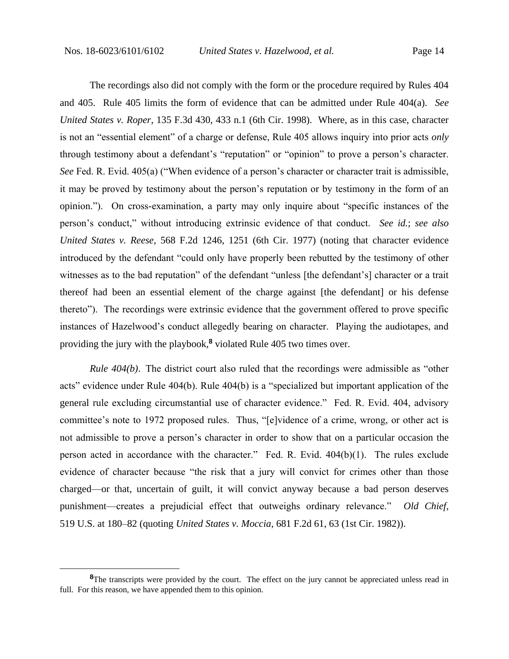The recordings also did not comply with the form or the procedure required by Rules 404 and 405. Rule 405 limits the form of evidence that can be admitted under Rule 404(a). *See United States v. Roper*, 135 F.3d 430, 433 n.1 (6th Cir. 1998). Where, as in this case, character is not an "essential element" of a charge or defense, Rule 405 allows inquiry into prior acts *only*  through testimony about a defendant's "reputation" or "opinion" to prove a person's character. *See* Fed. R. Evid. 405(a) ("When evidence of a person's character or character trait is admissible, it may be proved by testimony about the person's reputation or by testimony in the form of an opinion."). On cross-examination, a party may only inquire about "specific instances of the person's conduct," without introducing extrinsic evidence of that conduct. *See id.*; *see also United States v. Reese*, 568 F.2d 1246, 1251 (6th Cir. 1977) (noting that character evidence introduced by the defendant "could only have properly been rebutted by the testimony of other witnesses as to the bad reputation" of the defendant "unless [the defendant's] character or a trait thereof had been an essential element of the charge against [the defendant] or his defense thereto"). The recordings were extrinsic evidence that the government offered to prove specific instances of Hazelwood's conduct allegedly bearing on character. Playing the audiotapes, and providing the jury with the playbook,**<sup>8</sup>** violated Rule 405 two times over.

*Rule 404(b)*. The district court also ruled that the recordings were admissible as "other acts" evidence under Rule 404(b). Rule 404(b) is a "specialized but important application of the general rule excluding circumstantial use of character evidence." Fed. R. Evid. 404, advisory committee's note to 1972 proposed rules. Thus, "[e]vidence of a crime, wrong, or other act is not admissible to prove a person's character in order to show that on a particular occasion the person acted in accordance with the character." Fed. R. Evid. 404(b)(1). The rules exclude evidence of character because "the risk that a jury will convict for crimes other than those charged—or that, uncertain of guilt, it will convict anyway because a bad person deserves punishment—creates a prejudicial effect that outweighs ordinary relevance." *Old Chief*, 519 U.S. at 180–82 (quoting *United States v. Moccia*, 681 F.2d 61, 63 (1st Cir. 1982)).

<sup>&</sup>lt;sup>8</sup>The transcripts were provided by the court. The effect on the jury cannot be appreciated unless read in full. For this reason, we have appended them to this opinion.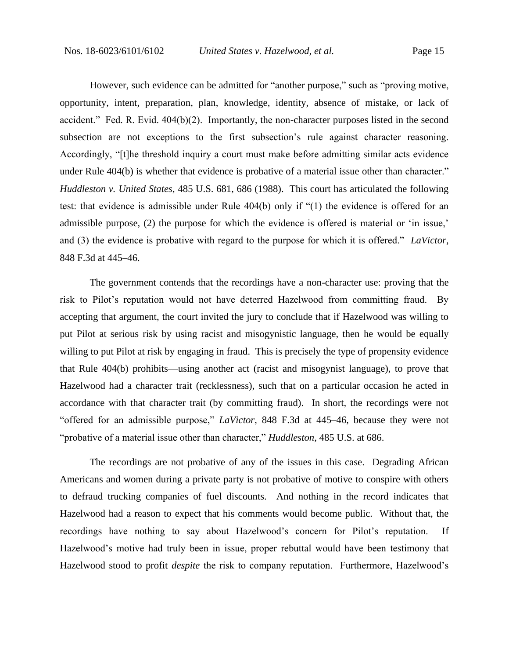However, such evidence can be admitted for "another purpose," such as "proving motive, opportunity, intent, preparation, plan, knowledge, identity, absence of mistake, or lack of accident." Fed. R. Evid. 404(b)(2). Importantly, the non-character purposes listed in the second subsection are not exceptions to the first subsection's rule against character reasoning. Accordingly, "[t]he threshold inquiry a court must make before admitting similar acts evidence under Rule 404(b) is whether that evidence is probative of a material issue other than character." *Huddleston v. United States*, 485 U.S. 681, 686 (1988). This court has articulated the following test: that evidence is admissible under Rule 404(b) only if "(1) the evidence is offered for an admissible purpose, (2) the purpose for which the evidence is offered is material or 'in issue,' and (3) the evidence is probative with regard to the purpose for which it is offered." *LaVictor*, 848 F.3d at 445–46.

The government contends that the recordings have a non-character use: proving that the risk to Pilot's reputation would not have deterred Hazelwood from committing fraud. By accepting that argument, the court invited the jury to conclude that if Hazelwood was willing to put Pilot at serious risk by using racist and misogynistic language, then he would be equally willing to put Pilot at risk by engaging in fraud. This is precisely the type of propensity evidence that Rule 404(b) prohibits—using another act (racist and misogynist language), to prove that Hazelwood had a character trait (recklessness), such that on a particular occasion he acted in accordance with that character trait (by committing fraud). In short, the recordings were not "offered for an admissible purpose," *LaVictor*, 848 F.3d at 445–46, because they were not "probative of a material issue other than character," *Huddleston*, 485 U.S. at 686.

The recordings are not probative of any of the issues in this case. Degrading African Americans and women during a private party is not probative of motive to conspire with others to defraud trucking companies of fuel discounts. And nothing in the record indicates that Hazelwood had a reason to expect that his comments would become public. Without that, the recordings have nothing to say about Hazelwood's concern for Pilot's reputation. If Hazelwood's motive had truly been in issue, proper rebuttal would have been testimony that Hazelwood stood to profit *despite* the risk to company reputation. Furthermore, Hazelwood's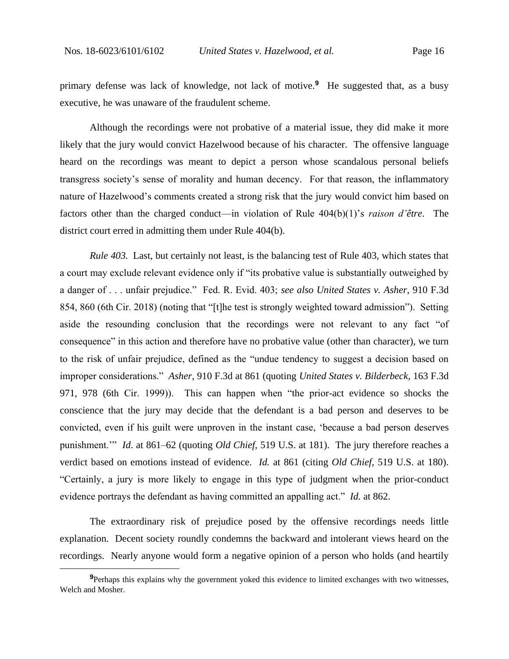primary defense was lack of knowledge, not lack of motive.**<sup>9</sup>** He suggested that, as a busy executive, he was unaware of the fraudulent scheme.

Although the recordings were not probative of a material issue, they did make it more likely that the jury would convict Hazelwood because of his character. The offensive language heard on the recordings was meant to depict a person whose scandalous personal beliefs transgress society's sense of morality and human decency. For that reason, the inflammatory nature of Hazelwood's comments created a strong risk that the jury would convict him based on factors other than the charged conduct—in violation of Rule 404(b)(1)'s *raison d'être*. The district court erred in admitting them under Rule 404(b).

*Rule 403.* Last, but certainly not least, is the balancing test of Rule 403, which states that a court may exclude relevant evidence only if "its probative value is substantially outweighed by a danger of . . . unfair prejudice." Fed. R. Evid. 403; *see also United States v. Asher*, 910 F.3d 854, 860 (6th Cir. 2018) (noting that "[t]he test is strongly weighted toward admission"). Setting aside the resounding conclusion that the recordings were not relevant to any fact "of consequence" in this action and therefore have no probative value (other than character), we turn to the risk of unfair prejudice, defined as the "undue tendency to suggest a decision based on improper considerations." *Asher*, 910 F.3d at 861 (quoting *United States v. Bilderbeck*, 163 F.3d 971, 978 (6th Cir. 1999)). This can happen when "the prior-act evidence so shocks the conscience that the jury may decide that the defendant is a bad person and deserves to be convicted, even if his guilt were unproven in the instant case, 'because a bad person deserves punishment.'" *Id*. at 861–62 (quoting *Old Chief*, 519 U.S. at 181). The jury therefore reaches a verdict based on emotions instead of evidence. *Id.* at 861 (citing *Old Chief*, 519 U.S. at 180). "Certainly, a jury is more likely to engage in this type of judgment when the prior-conduct evidence portrays the defendant as having committed an appalling act." *Id.* at 862.

The extraordinary risk of prejudice posed by the offensive recordings needs little explanation. Decent society roundly condemns the backward and intolerant views heard on the recordings. Nearly anyone would form a negative opinion of a person who holds (and heartily

**<sup>9</sup>**Perhaps this explains why the government yoked this evidence to limited exchanges with two witnesses, Welch and Mosher.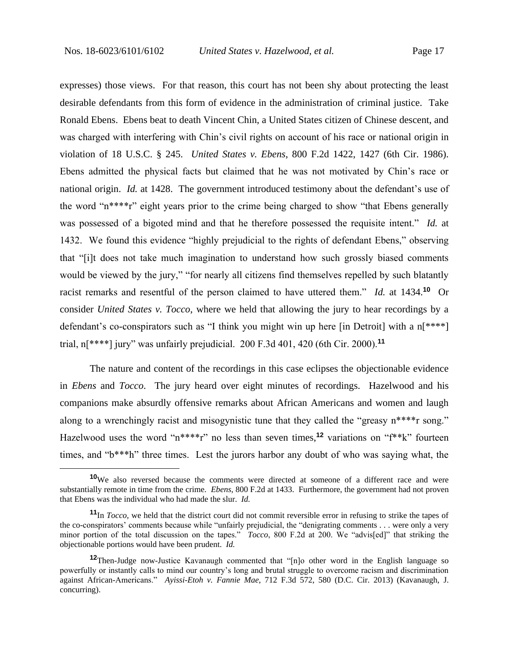expresses) those views. For that reason, this court has not been shy about protecting the least desirable defendants from this form of evidence in the administration of criminal justice. Take Ronald Ebens. Ebens beat to death Vincent Chin, a United States citizen of Chinese descent, and was charged with interfering with Chin's civil rights on account of his race or national origin in violation of 18 U.S.C. § 245. *United States v. Ebens*, 800 F.2d 1422, 1427 (6th Cir. 1986). Ebens admitted the physical facts but claimed that he was not motivated by Chin's race or national origin. *Id.* at 1428. The government introduced testimony about the defendant's use of the word "n\*\*\*\*r" eight years prior to the crime being charged to show "that Ebens generally was possessed of a bigoted mind and that he therefore possessed the requisite intent." *Id.* at 1432. We found this evidence "highly prejudicial to the rights of defendant Ebens," observing that "[i]t does not take much imagination to understand how such grossly biased comments would be viewed by the jury," "for nearly all citizens find themselves repelled by such blatantly racist remarks and resentful of the person claimed to have uttered them." *Id.* at 1434.**<sup>10</sup>** Or consider *United States v. Tocco*, where we held that allowing the jury to hear recordings by a defendant's co-conspirators such as "I think you might win up here [in Detroit] with a n[\*\*\*\*] trial, n[\*\*\*\*] jury" was unfairly prejudicial. 200 F.3d 401, 420 (6th Cir. 2000).**<sup>11</sup>**

The nature and content of the recordings in this case eclipses the objectionable evidence in *Ebens* and *Tocco*. The jury heard over eight minutes of recordings. Hazelwood and his companions make absurdly offensive remarks about African Americans and women and laugh along to a wrenchingly racist and misogynistic tune that they called the "greasy n\*\*\*\*r song." Hazelwood uses the word "n\*\*\*\*r" no less than seven times,**<sup>12</sup>** variations on "f\*\*k" fourteen times, and "b\*\*\*h" three times. Lest the jurors harbor any doubt of who was saying what, the

**<sup>10</sup>**We also reversed because the comments were directed at someone of a different race and were substantially remote in time from the crime. *Ebens*, 800 F.2d at 1433. Furthermore, the government had not proven that Ebens was the individual who had made the slur. *Id.*

**<sup>11</sup>**In *Tocco,* we held that the district court did not commit reversible error in refusing to strike the tapes of the co-conspirators' comments because while "unfairly prejudicial, the "denigrating comments . . . were only a very minor portion of the total discussion on the tapes." *Tocco*, 800 F.2d at 200. We "advis[ed]" that striking the objectionable portions would have been prudent. *Id.*

**<sup>12</sup>**Then-Judge now-Justice Kavanaugh commented that "[n]o other word in the English language so powerfully or instantly calls to mind our country's long and brutal struggle to overcome racism and discrimination against African-Americans." *Ayissi-Etoh v. Fannie Mae*, 712 F.3d 572, 580 (D.C. Cir. 2013) (Kavanaugh, J. concurring).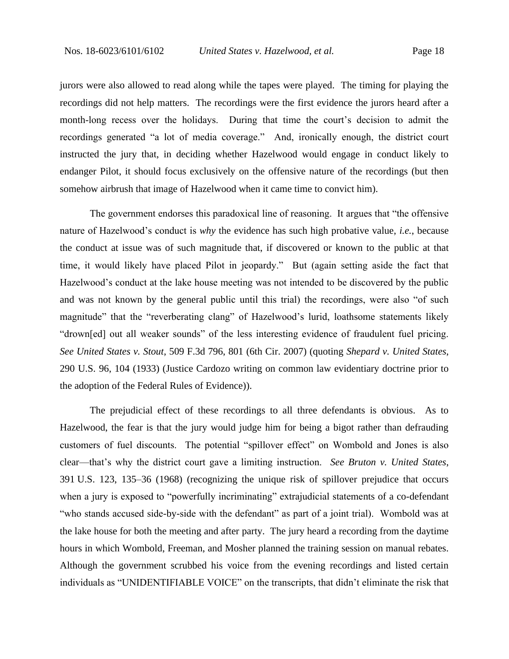jurors were also allowed to read along while the tapes were played. The timing for playing the recordings did not help matters. The recordings were the first evidence the jurors heard after a month-long recess over the holidays. During that time the court's decision to admit the recordings generated "a lot of media coverage." And, ironically enough, the district court instructed the jury that, in deciding whether Hazelwood would engage in conduct likely to endanger Pilot, it should focus exclusively on the offensive nature of the recordings (but then somehow airbrush that image of Hazelwood when it came time to convict him).

The government endorses this paradoxical line of reasoning. It argues that "the offensive nature of Hazelwood's conduct is *why* the evidence has such high probative value, *i.e.*, because the conduct at issue was of such magnitude that, if discovered or known to the public at that time, it would likely have placed Pilot in jeopardy." But (again setting aside the fact that Hazelwood's conduct at the lake house meeting was not intended to be discovered by the public and was not known by the general public until this trial) the recordings, were also "of such magnitude" that the "reverberating clang" of Hazelwood's lurid, loathsome statements likely "drown[ed] out all weaker sounds" of the less interesting evidence of fraudulent fuel pricing. *See United States v. Stout*, 509 F.3d 796, 801 (6th Cir. 2007) (quoting *Shepard v. United States*, 290 U.S. 96, 104 (1933) (Justice Cardozo writing on common law evidentiary doctrine prior to the adoption of the Federal Rules of Evidence)).

The prejudicial effect of these recordings to all three defendants is obvious. As to Hazelwood, the fear is that the jury would judge him for being a bigot rather than defrauding customers of fuel discounts. The potential "spillover effect" on Wombold and Jones is also clear—that's why the district court gave a limiting instruction. *See Bruton v. United States*, 391 U.S. 123, 135–36 (1968) (recognizing the unique risk of spillover prejudice that occurs when a jury is exposed to "powerfully incriminating" extrajudicial statements of a co-defendant "who stands accused side-by-side with the defendant" as part of a joint trial). Wombold was at the lake house for both the meeting and after party. The jury heard a recording from the daytime hours in which Wombold, Freeman, and Mosher planned the training session on manual rebates. Although the government scrubbed his voice from the evening recordings and listed certain individuals as "UNIDENTIFIABLE VOICE" on the transcripts, that didn't eliminate the risk that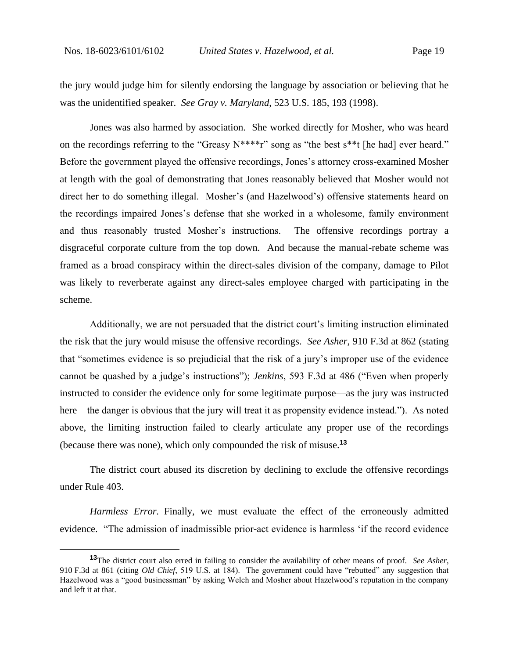the jury would judge him for silently endorsing the language by association or believing that he was the unidentified speaker. *See Gray v. Maryland*, 523 U.S. 185, 193 (1998).

Jones was also harmed by association. She worked directly for Mosher, who was heard on the recordings referring to the "Greasy  $N^{***}r$ " song as "the best  $s^{**}$ t [he had] ever heard." Before the government played the offensive recordings, Jones's attorney cross-examined Mosher at length with the goal of demonstrating that Jones reasonably believed that Mosher would not direct her to do something illegal. Mosher's (and Hazelwood's) offensive statements heard on the recordings impaired Jones's defense that she worked in a wholesome, family environment and thus reasonably trusted Mosher's instructions. The offensive recordings portray a disgraceful corporate culture from the top down. And because the manual-rebate scheme was framed as a broad conspiracy within the direct-sales division of the company, damage to Pilot was likely to reverberate against any direct-sales employee charged with participating in the scheme.

Additionally, we are not persuaded that the district court's limiting instruction eliminated the risk that the jury would misuse the offensive recordings. *See Asher*, 910 F.3d at 862 (stating that "sometimes evidence is so prejudicial that the risk of a jury's improper use of the evidence cannot be quashed by a judge's instructions"); *Jenkins*, 593 F.3d at 486 ("Even when properly instructed to consider the evidence only for some legitimate purpose—as the jury was instructed here—the danger is obvious that the jury will treat it as propensity evidence instead."). As noted above, the limiting instruction failed to clearly articulate any proper use of the recordings (because there was none), which only compounded the risk of misuse.**<sup>13</sup>**

The district court abused its discretion by declining to exclude the offensive recordings under Rule 403.

*Harmless Error.* Finally, we must evaluate the effect of the erroneously admitted evidence. "The admission of inadmissible prior-act evidence is harmless 'if the record evidence

**<sup>13</sup>**The district court also erred in failing to consider the availability of other means of proof. *See Asher*, 910 F.3d at 861 (citing *Old Chief*, 519 U.S. at 184). The government could have "rebutted" any suggestion that Hazelwood was a "good businessman" by asking Welch and Mosher about Hazelwood's reputation in the company and left it at that.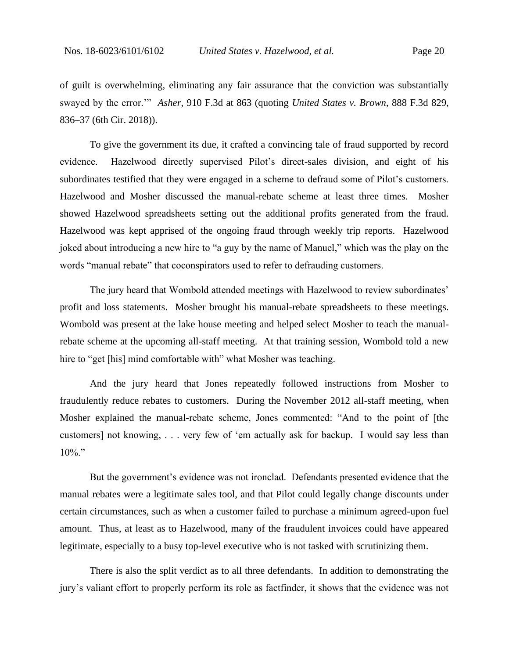of guilt is overwhelming, eliminating any fair assurance that the conviction was substantially swayed by the error.'" *Asher*, 910 F.3d at 863 (quoting *United States v. Brown*, 888 F.3d 829, 836–37 (6th Cir. 2018)).

To give the government its due, it crafted a convincing tale of fraud supported by record evidence. Hazelwood directly supervised Pilot's direct-sales division, and eight of his subordinates testified that they were engaged in a scheme to defraud some of Pilot's customers. Hazelwood and Mosher discussed the manual-rebate scheme at least three times. Mosher showed Hazelwood spreadsheets setting out the additional profits generated from the fraud. Hazelwood was kept apprised of the ongoing fraud through weekly trip reports. Hazelwood joked about introducing a new hire to "a guy by the name of Manuel," which was the play on the words "manual rebate" that coconspirators used to refer to defrauding customers.

The jury heard that Wombold attended meetings with Hazelwood to review subordinates' profit and loss statements. Mosher brought his manual-rebate spreadsheets to these meetings. Wombold was present at the lake house meeting and helped select Mosher to teach the manualrebate scheme at the upcoming all-staff meeting. At that training session, Wombold told a new hire to "get [his] mind comfortable with" what Mosher was teaching.

And the jury heard that Jones repeatedly followed instructions from Mosher to fraudulently reduce rebates to customers. During the November 2012 all-staff meeting, when Mosher explained the manual-rebate scheme, Jones commented: "And to the point of [the customers] not knowing, . . . very few of 'em actually ask for backup. I would say less than  $10\%$ ."

But the government's evidence was not ironclad. Defendants presented evidence that the manual rebates were a legitimate sales tool, and that Pilot could legally change discounts under certain circumstances, such as when a customer failed to purchase a minimum agreed-upon fuel amount. Thus, at least as to Hazelwood, many of the fraudulent invoices could have appeared legitimate, especially to a busy top-level executive who is not tasked with scrutinizing them.

There is also the split verdict as to all three defendants. In addition to demonstrating the jury's valiant effort to properly perform its role as factfinder, it shows that the evidence was not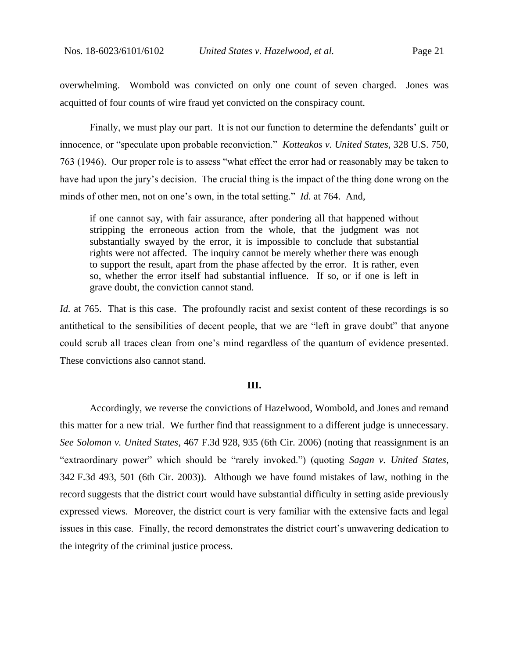overwhelming. Wombold was convicted on only one count of seven charged. Jones was acquitted of four counts of wire fraud yet convicted on the conspiracy count.

Finally, we must play our part. It is not our function to determine the defendants' guilt or innocence, or "speculate upon probable reconviction." *Kotteakos v. United States*, 328 U.S. 750, 763 (1946). Our proper role is to assess "what effect the error had or reasonably may be taken to have had upon the jury's decision. The crucial thing is the impact of the thing done wrong on the minds of other men, not on one's own, in the total setting." *Id.* at 764. And,

if one cannot say, with fair assurance, after pondering all that happened without stripping the erroneous action from the whole, that the judgment was not substantially swayed by the error, it is impossible to conclude that substantial rights were not affected. The inquiry cannot be merely whether there was enough to support the result, apart from the phase affected by the error. It is rather, even so, whether the error itself had substantial influence. If so, or if one is left in grave doubt, the conviction cannot stand.

*Id.* at 765. That is this case. The profoundly racist and sexist content of these recordings is so antithetical to the sensibilities of decent people, that we are "left in grave doubt" that anyone could scrub all traces clean from one's mind regardless of the quantum of evidence presented. These convictions also cannot stand.

### **III.**

Accordingly, we reverse the convictions of Hazelwood, Wombold, and Jones and remand this matter for a new trial. We further find that reassignment to a different judge is unnecessary. *See Solomon v. United States*, 467 F.3d 928, 935 (6th Cir. 2006) (noting that reassignment is an "extraordinary power" which should be "rarely invoked.") (quoting *Sagan v. United States*, 342 F.3d 493, 501 (6th Cir. 2003)). Although we have found mistakes of law, nothing in the record suggests that the district court would have substantial difficulty in setting aside previously expressed views. Moreover, the district court is very familiar with the extensive facts and legal issues in this case. Finally, the record demonstrates the district court's unwavering dedication to the integrity of the criminal justice process.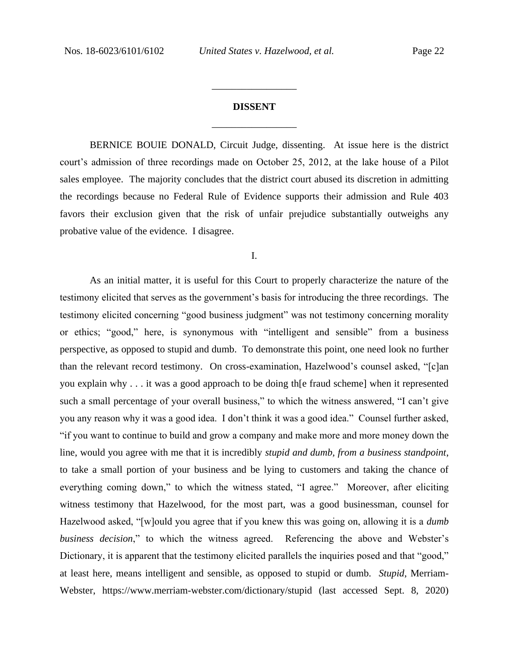# **DISSENT** \_\_\_\_\_\_\_\_\_\_\_\_\_\_\_\_\_

\_\_\_\_\_\_\_\_\_\_\_\_\_\_\_\_\_

BERNICE BOUIE DONALD, Circuit Judge, dissenting. At issue here is the district court's admission of three recordings made on October 25, 2012, at the lake house of a Pilot sales employee. The majority concludes that the district court abused its discretion in admitting the recordings because no Federal Rule of Evidence supports their admission and Rule 403 favors their exclusion given that the risk of unfair prejudice substantially outweighs any probative value of the evidence. I disagree.

I.

As an initial matter, it is useful for this Court to properly characterize the nature of the testimony elicited that serves as the government's basis for introducing the three recordings. The testimony elicited concerning "good business judgment" was not testimony concerning morality or ethics; "good," here, is synonymous with "intelligent and sensible" from a business perspective, as opposed to stupid and dumb. To demonstrate this point, one need look no further than the relevant record testimony. On cross-examination, Hazelwood's counsel asked, "[c]an you explain why . . . it was a good approach to be doing th[e fraud scheme] when it represented such a small percentage of your overall business," to which the witness answered, "I can't give you any reason why it was a good idea. I don't think it was a good idea." Counsel further asked, "if you want to continue to build and grow a company and make more and more money down the line, would you agree with me that it is incredibly *stupid and dumb, from a business standpoint*, to take a small portion of your business and be lying to customers and taking the chance of everything coming down," to which the witness stated, "I agree." Moreover, after eliciting witness testimony that Hazelwood, for the most part, was a good businessman, counsel for Hazelwood asked, "[w]ould you agree that if you knew this was going on, allowing it is a *dumb business decision*," to which the witness agreed. Referencing the above and Webster's Dictionary, it is apparent that the testimony elicited parallels the inquiries posed and that "good," at least here, means intelligent and sensible, as opposed to stupid or dumb. *Stupid*, Merriam-Webster, https://www.merriam-webster.com/dictionary/stupid (last accessed Sept. 8, 2020)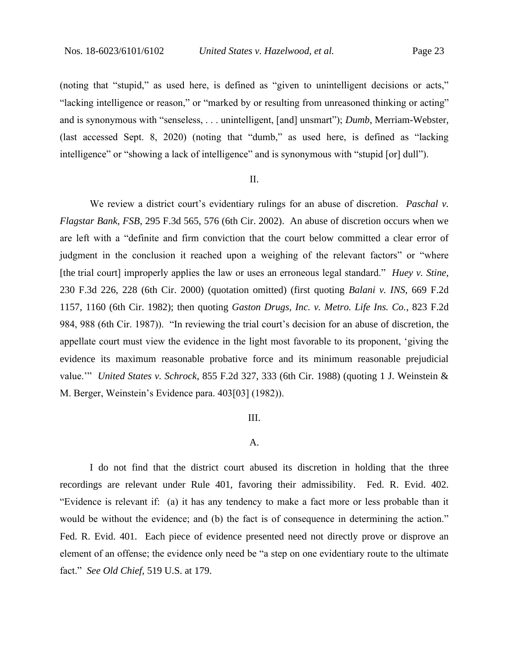(noting that "stupid," as used here, is defined as "given to unintelligent decisions or acts," "lacking intelligence or reason," or "marked by or resulting from unreasoned thinking or acting" and is synonymous with "senseless, . . . unintelligent, [and] unsmart"); *Dumb*, Merriam-Webster, (last accessed Sept. 8, 2020) (noting that "dumb," as used here, is defined as "lacking intelligence" or "showing a lack of intelligence" and is synonymous with "stupid [or] dull").

## II.

We review a district court's evidentiary rulings for an abuse of discretion. *Paschal v. Flagstar Bank, FSB*, 295 F.3d 565, 576 (6th Cir. 2002). An abuse of discretion occurs when we are left with a "definite and firm conviction that the court below committed a clear error of judgment in the conclusion it reached upon a weighing of the relevant factors" or "where [the trial court] improperly applies the law or uses an erroneous legal standard." *Huey v. Stine*, 230 F.3d 226, 228 (6th Cir. 2000) (quotation omitted) (first quoting *Balani v. INS*, 669 F.2d 1157, 1160 (6th Cir. 1982); then quoting *Gaston Drugs, Inc. v. Metro. Life Ins. Co.*, 823 F.2d 984, 988 (6th Cir. 1987)). "In reviewing the trial court's decision for an abuse of discretion, the appellate court must view the evidence in the light most favorable to its proponent, 'giving the evidence its maximum reasonable probative force and its minimum reasonable prejudicial value.'" *United States v. Schrock*, 855 F.2d 327, 333 (6th Cir. 1988) (quoting 1 J. Weinstein & M. Berger, Weinstein's Evidence para. 403[03] (1982)).

#### III.

#### A.

I do not find that the district court abused its discretion in holding that the three recordings are relevant under Rule 401, favoring their admissibility. Fed. R. Evid. 402. "Evidence is relevant if: (a) it has any tendency to make a fact more or less probable than it would be without the evidence; and (b) the fact is of consequence in determining the action." Fed. R. Evid. 401. Each piece of evidence presented need not directly prove or disprove an element of an offense; the evidence only need be "a step on one evidentiary route to the ultimate fact." *See Old Chief*, 519 U.S. at 179.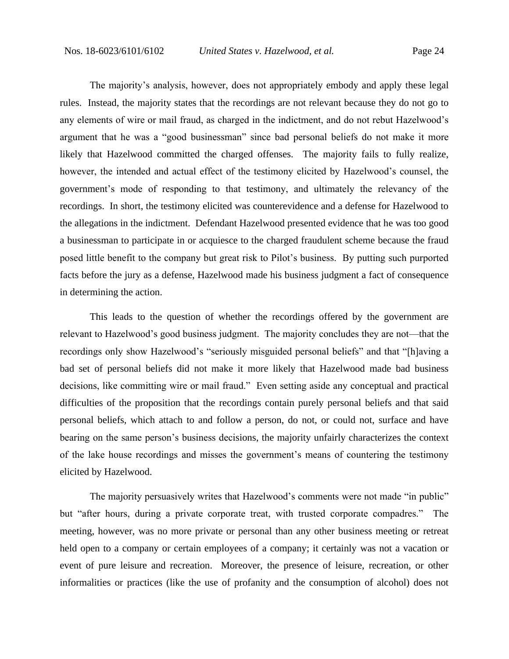The majority's analysis, however, does not appropriately embody and apply these legal rules. Instead, the majority states that the recordings are not relevant because they do not go to any elements of wire or mail fraud, as charged in the indictment, and do not rebut Hazelwood's argument that he was a "good businessman" since bad personal beliefs do not make it more likely that Hazelwood committed the charged offenses. The majority fails to fully realize, however, the intended and actual effect of the testimony elicited by Hazelwood's counsel, the government's mode of responding to that testimony, and ultimately the relevancy of the recordings. In short, the testimony elicited was counterevidence and a defense for Hazelwood to the allegations in the indictment. Defendant Hazelwood presented evidence that he was too good a businessman to participate in or acquiesce to the charged fraudulent scheme because the fraud posed little benefit to the company but great risk to Pilot's business. By putting such purported facts before the jury as a defense, Hazelwood made his business judgment a fact of consequence in determining the action.

This leads to the question of whether the recordings offered by the government are relevant to Hazelwood's good business judgment. The majority concludes they are not—that the recordings only show Hazelwood's "seriously misguided personal beliefs" and that "[h]aving a bad set of personal beliefs did not make it more likely that Hazelwood made bad business decisions, like committing wire or mail fraud." Even setting aside any conceptual and practical difficulties of the proposition that the recordings contain purely personal beliefs and that said personal beliefs, which attach to and follow a person, do not, or could not, surface and have bearing on the same person's business decisions, the majority unfairly characterizes the context of the lake house recordings and misses the government's means of countering the testimony elicited by Hazelwood.

The majority persuasively writes that Hazelwood's comments were not made "in public" but "after hours, during a private corporate treat, with trusted corporate compadres." The meeting, however, was no more private or personal than any other business meeting or retreat held open to a company or certain employees of a company; it certainly was not a vacation or event of pure leisure and recreation. Moreover, the presence of leisure, recreation, or other informalities or practices (like the use of profanity and the consumption of alcohol) does not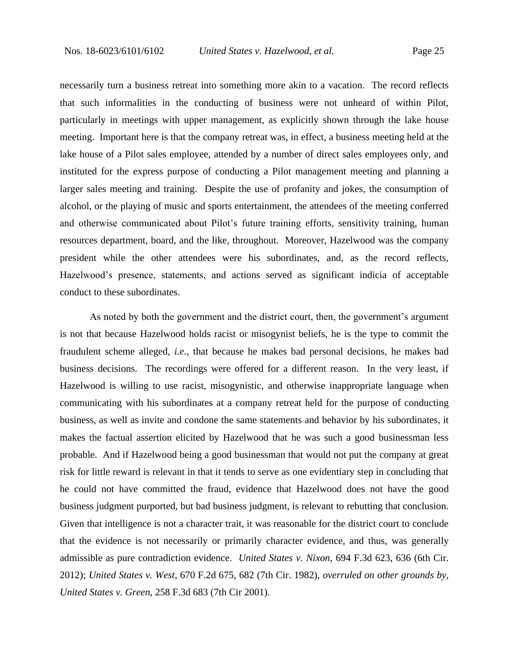necessarily turn a business retreat into something more akin to a vacation. The record reflects that such informalities in the conducting of business were not unheard of within Pilot, particularly in meetings with upper management, as explicitly shown through the lake house meeting. Important here is that the company retreat was, in effect, a business meeting held at the lake house of a Pilot sales employee, attended by a number of direct sales employees only, and instituted for the express purpose of conducting a Pilot management meeting and planning a larger sales meeting and training. Despite the use of profanity and jokes, the consumption of alcohol, or the playing of music and sports entertainment, the attendees of the meeting conferred and otherwise communicated about Pilot's future training efforts, sensitivity training, human resources department, board, and the like, throughout. Moreover, Hazelwood was the company president while the other attendees were his subordinates, and, as the record reflects, Hazelwood's presence, statements, and actions served as significant indicia of acceptable conduct to these subordinates.

As noted by both the government and the district court, then, the government's argument is not that because Hazelwood holds racist or misogynist beliefs, he is the type to commit the fraudulent scheme alleged, *i.e.*, that because he makes bad personal decisions, he makes bad business decisions. The recordings were offered for a different reason. In the very least, if Hazelwood is willing to use racist, misogynistic, and otherwise inappropriate language when communicating with his subordinates at a company retreat held for the purpose of conducting business, as well as invite and condone the same statements and behavior by his subordinates, it makes the factual assertion elicited by Hazelwood that he was such a good businessman less probable. And if Hazelwood being a good businessman that would not put the company at great risk for little reward is relevant in that it tends to serve as one evidentiary step in concluding that he could not have committed the fraud, evidence that Hazelwood does not have the good business judgment purported, but bad business judgment, is relevant to rebutting that conclusion. Given that intelligence is not a character trait, it was reasonable for the district court to conclude that the evidence is not necessarily or primarily character evidence, and thus, was generally admissible as pure contradiction evidence. *United States v. Nixon*, 694 F.3d 623, 636 (6th Cir. 2012); *United States v. West*, 670 F.2d 675, 682 (7th Cir. 1982), *overruled on other grounds by*, *United States v. Green*, 258 F.3d 683 (7th Cir 2001).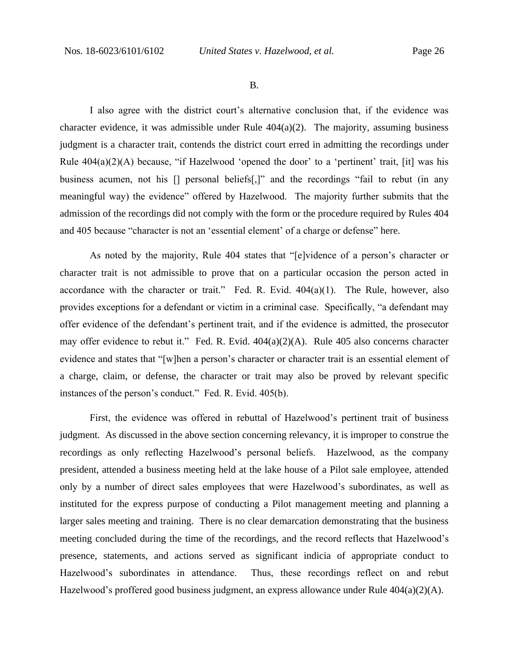B.

I also agree with the district court's alternative conclusion that, if the evidence was character evidence, it was admissible under Rule 404(a)(2). The majority, assuming business judgment is a character trait, contends the district court erred in admitting the recordings under Rule  $404(a)(2)(A)$  because, "if Hazelwood 'opened the door' to a 'pertinent' trait, [it] was his business acumen, not his [] personal beliefs[,]" and the recordings "fail to rebut (in any meaningful way) the evidence" offered by Hazelwood. The majority further submits that the admission of the recordings did not comply with the form or the procedure required by Rules 404 and 405 because "character is not an 'essential element' of a charge or defense" here.

As noted by the majority, Rule 404 states that "[e]vidence of a person's character or character trait is not admissible to prove that on a particular occasion the person acted in accordance with the character or trait." Fed. R. Evid.  $404(a)(1)$ . The Rule, however, also provides exceptions for a defendant or victim in a criminal case. Specifically, "a defendant may offer evidence of the defendant's pertinent trait, and if the evidence is admitted, the prosecutor may offer evidence to rebut it." Fed. R. Evid. 404(a)(2)(A). Rule 405 also concerns character evidence and states that "[w]hen a person's character or character trait is an essential element of a charge, claim, or defense, the character or trait may also be proved by relevant specific instances of the person's conduct." Fed. R. Evid. 405(b).

First, the evidence was offered in rebuttal of Hazelwood's pertinent trait of business judgment. As discussed in the above section concerning relevancy, it is improper to construe the recordings as only reflecting Hazelwood's personal beliefs. Hazelwood, as the company president, attended a business meeting held at the lake house of a Pilot sale employee, attended only by a number of direct sales employees that were Hazelwood's subordinates, as well as instituted for the express purpose of conducting a Pilot management meeting and planning a larger sales meeting and training. There is no clear demarcation demonstrating that the business meeting concluded during the time of the recordings, and the record reflects that Hazelwood's presence, statements, and actions served as significant indicia of appropriate conduct to Hazelwood's subordinates in attendance. Thus, these recordings reflect on and rebut Hazelwood's proffered good business judgment, an express allowance under Rule 404(a)(2)(A).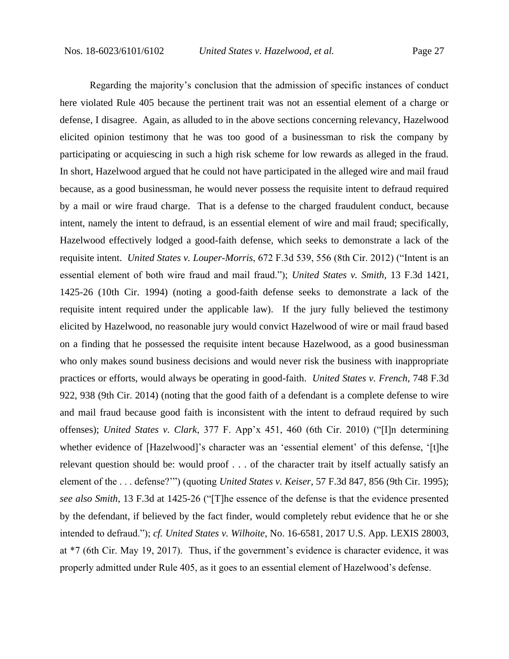Regarding the majority's conclusion that the admission of specific instances of conduct here violated Rule 405 because the pertinent trait was not an essential element of a charge or defense, I disagree. Again, as alluded to in the above sections concerning relevancy, Hazelwood elicited opinion testimony that he was too good of a businessman to risk the company by participating or acquiescing in such a high risk scheme for low rewards as alleged in the fraud. In short, Hazelwood argued that he could not have participated in the alleged wire and mail fraud because, as a good businessman, he would never possess the requisite intent to defraud required by a mail or wire fraud charge. That is a defense to the charged fraudulent conduct, because intent, namely the intent to defraud, is an essential element of wire and mail fraud; specifically, Hazelwood effectively lodged a good-faith defense, which seeks to demonstrate a lack of the requisite intent. *United States v. Louper-Morris*, 672 F.3d 539, 556 (8th Cir. 2012) ("Intent is an essential element of both wire fraud and mail fraud."); *United States v. Smith*, 13 F.3d 1421, 1425-26 (10th Cir. 1994) (noting a good-faith defense seeks to demonstrate a lack of the requisite intent required under the applicable law). If the jury fully believed the testimony elicited by Hazelwood, no reasonable jury would convict Hazelwood of wire or mail fraud based on a finding that he possessed the requisite intent because Hazelwood, as a good businessman who only makes sound business decisions and would never risk the business with inappropriate practices or efforts, would always be operating in good-faith. *United States v. French*, 748 F.3d 922, 938 (9th Cir. 2014) (noting that the good faith of a defendant is a complete defense to wire and mail fraud because good faith is inconsistent with the intent to defraud required by such offenses); *United States v. Clark*, 377 F. App'x 451, 460 (6th Cir. 2010) ("[I]n determining whether evidence of [Hazelwood]'s character was an 'essential element' of this defense, '[t]he relevant question should be: would proof . . . of the character trait by itself actually satisfy an element of the . . . defense?'") (quoting *United States v. Keiser*, 57 F.3d 847, 856 (9th Cir. 1995); *see also Smith*, 13 F.3d at 1425-26 ("[T]he essence of the defense is that the evidence presented by the defendant, if believed by the fact finder, would completely rebut evidence that he or she intended to defraud."); *cf. United States v. Wilhoite*, No. 16-6581, 2017 U.S. App. LEXIS 28003, at \*7 (6th Cir. May 19, 2017). Thus, if the government's evidence is character evidence, it was properly admitted under Rule 405, as it goes to an essential element of Hazelwood's defense.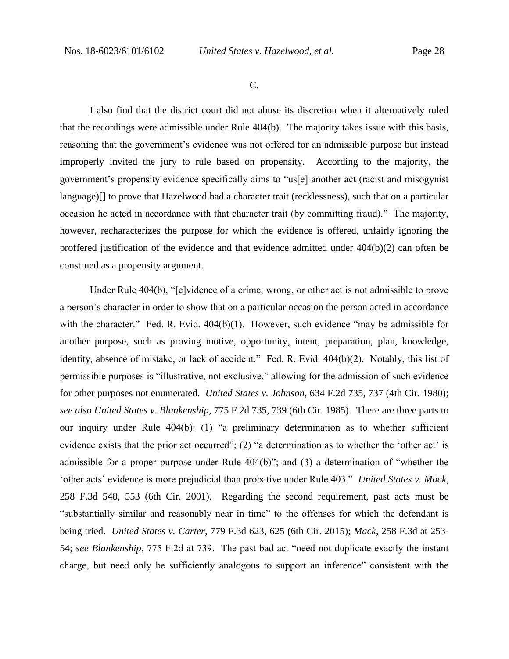C.

I also find that the district court did not abuse its discretion when it alternatively ruled that the recordings were admissible under Rule 404(b). The majority takes issue with this basis, reasoning that the government's evidence was not offered for an admissible purpose but instead improperly invited the jury to rule based on propensity. According to the majority, the government's propensity evidence specifically aims to "us[e] another act (racist and misogynist language)[] to prove that Hazelwood had a character trait (recklessness), such that on a particular occasion he acted in accordance with that character trait (by committing fraud)." The majority, however, recharacterizes the purpose for which the evidence is offered, unfairly ignoring the proffered justification of the evidence and that evidence admitted under 404(b)(2) can often be construed as a propensity argument.

Under Rule 404(b), "[e]vidence of a crime, wrong, or other act is not admissible to prove a person's character in order to show that on a particular occasion the person acted in accordance with the character." Fed. R. Evid. 404(b)(1). However, such evidence "may be admissible for another purpose, such as proving motive, opportunity, intent, preparation, plan, knowledge, identity, absence of mistake, or lack of accident." Fed. R. Evid. 404(b)(2). Notably, this list of permissible purposes is "illustrative, not exclusive," allowing for the admission of such evidence for other purposes not enumerated. *United States v. Johnson*, 634 F.2d 735, 737 (4th Cir. 1980); *see also United States v. Blankenship*, 775 F.2d 735, 739 (6th Cir. 1985). There are three parts to our inquiry under Rule 404(b): (1) "a preliminary determination as to whether sufficient evidence exists that the prior act occurred"; (2) "a determination as to whether the 'other act' is admissible for a proper purpose under Rule 404(b)"; and (3) a determination of "whether the 'other acts' evidence is more prejudicial than probative under Rule 403." *United States v. Mack*, 258 F.3d 548, 553 (6th Cir. 2001). Regarding the second requirement, past acts must be "substantially similar and reasonably near in time" to the offenses for which the defendant is being tried. *United States v. Carter*, 779 F.3d 623, 625 (6th Cir. 2015); *Mack*, 258 F.3d at 253- 54; *see Blankenship*, 775 F.2d at 739. The past bad act "need not duplicate exactly the instant charge, but need only be sufficiently analogous to support an inference" consistent with the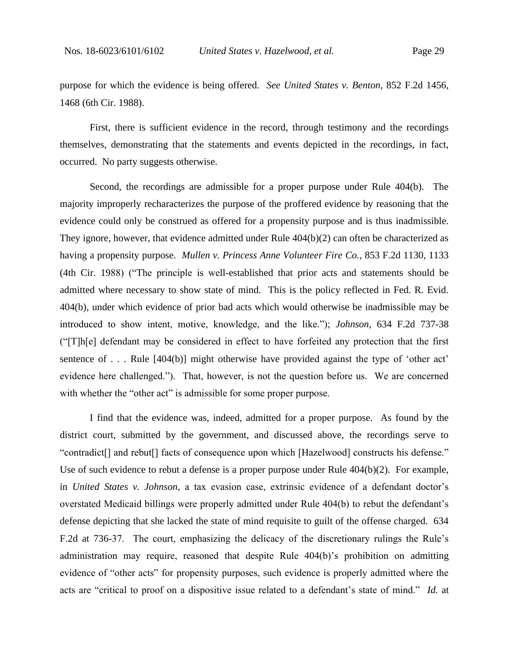purpose for which the evidence is being offered. *See United States v. Benton*, 852 F.2d 1456, 1468 (6th Cir. 1988).

First, there is sufficient evidence in the record, through testimony and the recordings themselves, demonstrating that the statements and events depicted in the recordings, in fact, occurred. No party suggests otherwise.

Second, the recordings are admissible for a proper purpose under Rule 404(b). The majority improperly recharacterizes the purpose of the proffered evidence by reasoning that the evidence could only be construed as offered for a propensity purpose and is thus inadmissible. They ignore, however, that evidence admitted under Rule 404(b)(2) can often be characterized as having a propensity purpose. *Mullen v. Princess Anne Volunteer Fire Co.*, 853 F.2d 1130, 1133 (4th Cir. 1988) ("The principle is well-established that prior acts and statements should be admitted where necessary to show state of mind. This is the policy reflected in Fed. R. Evid. 404(b), under which evidence of prior bad acts which would otherwise be inadmissible may be introduced to show intent, motive, knowledge, and the like."); *Johnson*, 634 F.2d 737-38 ("[T]h[e] defendant may be considered in effect to have forfeited any protection that the first sentence of . . . Rule [404(b)] might otherwise have provided against the type of 'other act' evidence here challenged."). That, however, is not the question before us. We are concerned with whether the "other act" is admissible for some proper purpose.

I find that the evidence was, indeed, admitted for a proper purpose. As found by the district court, submitted by the government, and discussed above, the recordings serve to "contradict[] and rebut[] facts of consequence upon which [Hazelwood] constructs his defense." Use of such evidence to rebut a defense is a proper purpose under Rule 404(b)(2). For example, in *United States v. Johnson*, a tax evasion case, extrinsic evidence of a defendant doctor's overstated Medicaid billings were properly admitted under Rule 404(b) to rebut the defendant's defense depicting that she lacked the state of mind requisite to guilt of the offense charged. 634 F.2d at 736-37. The court, emphasizing the delicacy of the discretionary rulings the Rule's administration may require, reasoned that despite Rule 404(b)'s prohibition on admitting evidence of "other acts" for propensity purposes, such evidence is properly admitted where the acts are "critical to proof on a dispositive issue related to a defendant's state of mind." *Id.* at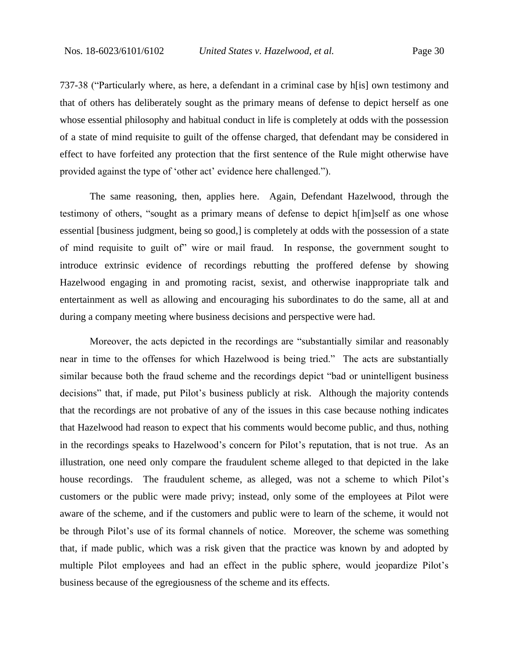737-38 ("Particularly where, as here, a defendant in a criminal case by h[is] own testimony and that of others has deliberately sought as the primary means of defense to depict herself as one whose essential philosophy and habitual conduct in life is completely at odds with the possession of a state of mind requisite to guilt of the offense charged, that defendant may be considered in effect to have forfeited any protection that the first sentence of the Rule might otherwise have provided against the type of 'other act' evidence here challenged.").

The same reasoning, then, applies here. Again, Defendant Hazelwood, through the testimony of others, "sought as a primary means of defense to depict h[im]self as one whose essential [business judgment, being so good,] is completely at odds with the possession of a state of mind requisite to guilt of" wire or mail fraud. In response, the government sought to introduce extrinsic evidence of recordings rebutting the proffered defense by showing Hazelwood engaging in and promoting racist, sexist, and otherwise inappropriate talk and entertainment as well as allowing and encouraging his subordinates to do the same, all at and during a company meeting where business decisions and perspective were had.

Moreover, the acts depicted in the recordings are "substantially similar and reasonably near in time to the offenses for which Hazelwood is being tried." The acts are substantially similar because both the fraud scheme and the recordings depict "bad or unintelligent business decisions" that, if made, put Pilot's business publicly at risk. Although the majority contends that the recordings are not probative of any of the issues in this case because nothing indicates that Hazelwood had reason to expect that his comments would become public, and thus, nothing in the recordings speaks to Hazelwood's concern for Pilot's reputation, that is not true. As an illustration, one need only compare the fraudulent scheme alleged to that depicted in the lake house recordings. The fraudulent scheme, as alleged, was not a scheme to which Pilot's customers or the public were made privy; instead, only some of the employees at Pilot were aware of the scheme, and if the customers and public were to learn of the scheme, it would not be through Pilot's use of its formal channels of notice. Moreover, the scheme was something that, if made public, which was a risk given that the practice was known by and adopted by multiple Pilot employees and had an effect in the public sphere, would jeopardize Pilot's business because of the egregiousness of the scheme and its effects.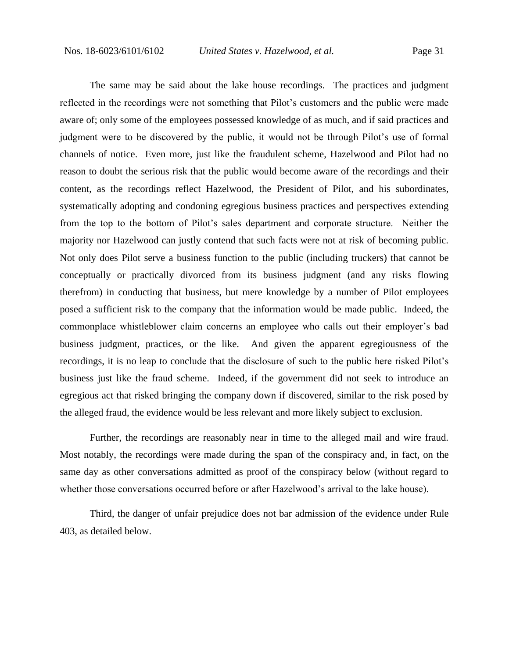The same may be said about the lake house recordings. The practices and judgment reflected in the recordings were not something that Pilot's customers and the public were made aware of; only some of the employees possessed knowledge of as much, and if said practices and judgment were to be discovered by the public, it would not be through Pilot's use of formal channels of notice. Even more, just like the fraudulent scheme, Hazelwood and Pilot had no reason to doubt the serious risk that the public would become aware of the recordings and their content, as the recordings reflect Hazelwood, the President of Pilot, and his subordinates, systematically adopting and condoning egregious business practices and perspectives extending from the top to the bottom of Pilot's sales department and corporate structure. Neither the majority nor Hazelwood can justly contend that such facts were not at risk of becoming public. Not only does Pilot serve a business function to the public (including truckers) that cannot be conceptually or practically divorced from its business judgment (and any risks flowing therefrom) in conducting that business, but mere knowledge by a number of Pilot employees posed a sufficient risk to the company that the information would be made public. Indeed, the commonplace whistleblower claim concerns an employee who calls out their employer's bad business judgment, practices, or the like. And given the apparent egregiousness of the recordings, it is no leap to conclude that the disclosure of such to the public here risked Pilot's business just like the fraud scheme. Indeed, if the government did not seek to introduce an egregious act that risked bringing the company down if discovered, similar to the risk posed by the alleged fraud, the evidence would be less relevant and more likely subject to exclusion.

Further, the recordings are reasonably near in time to the alleged mail and wire fraud. Most notably, the recordings were made during the span of the conspiracy and, in fact, on the same day as other conversations admitted as proof of the conspiracy below (without regard to whether those conversations occurred before or after Hazelwood's arrival to the lake house).

Third, the danger of unfair prejudice does not bar admission of the evidence under Rule 403, as detailed below.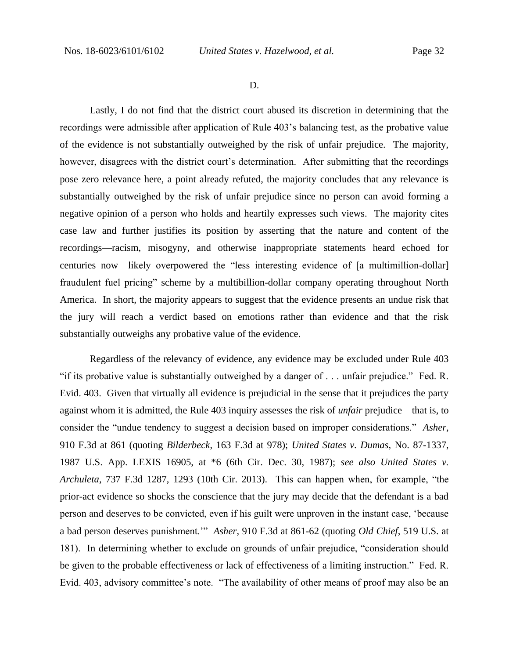D.

Lastly, I do not find that the district court abused its discretion in determining that the recordings were admissible after application of Rule 403's balancing test, as the probative value of the evidence is not substantially outweighed by the risk of unfair prejudice. The majority, however, disagrees with the district court's determination. After submitting that the recordings pose zero relevance here, a point already refuted, the majority concludes that any relevance is substantially outweighed by the risk of unfair prejudice since no person can avoid forming a negative opinion of a person who holds and heartily expresses such views. The majority cites case law and further justifies its position by asserting that the nature and content of the recordings—racism, misogyny, and otherwise inappropriate statements heard echoed for centuries now—likely overpowered the "less interesting evidence of [a multimillion-dollar] fraudulent fuel pricing" scheme by a multibillion-dollar company operating throughout North America. In short, the majority appears to suggest that the evidence presents an undue risk that the jury will reach a verdict based on emotions rather than evidence and that the risk substantially outweighs any probative value of the evidence.

Regardless of the relevancy of evidence, any evidence may be excluded under Rule 403 "if its probative value is substantially outweighed by a danger of . . . unfair prejudice." Fed. R. Evid. 403. Given that virtually all evidence is prejudicial in the sense that it prejudices the party against whom it is admitted, the Rule 403 inquiry assesses the risk of *unfair* prejudice—that is, to consider the "undue tendency to suggest a decision based on improper considerations." *Asher*, 910 F.3d at 861 (quoting *Bilderbeck*, 163 F.3d at 978); *United States v. Dumas*, No. 87-1337, 1987 U.S. App. LEXIS 16905, at \*6 (6th Cir. Dec. 30, 1987); *see also United States v. Archuleta*, 737 F.3d 1287, 1293 (10th Cir. 2013). This can happen when, for example, "the prior-act evidence so shocks the conscience that the jury may decide that the defendant is a bad person and deserves to be convicted, even if his guilt were unproven in the instant case, 'because a bad person deserves punishment.'" *Asher*, 910 F.3d at 861-62 (quoting *Old Chief*, 519 U.S. at 181). In determining whether to exclude on grounds of unfair prejudice, "consideration should be given to the probable effectiveness or lack of effectiveness of a limiting instruction." Fed. R. Evid. 403, advisory committee's note. "The availability of other means of proof may also be an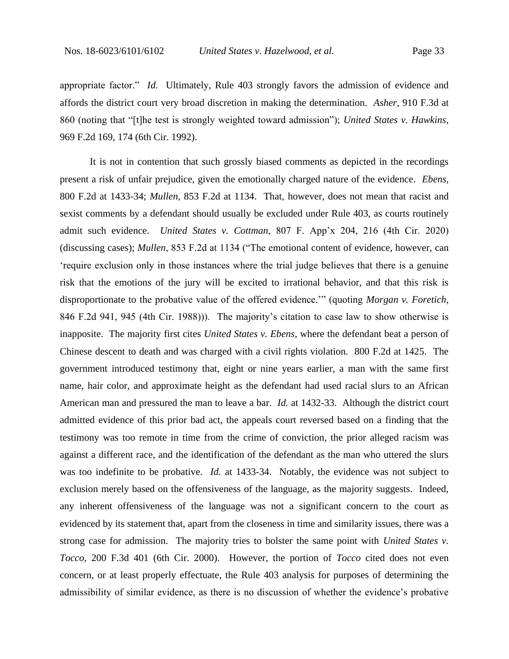appropriate factor." *Id.* Ultimately, Rule 403 strongly favors the admission of evidence and affords the district court very broad discretion in making the determination. *Asher*, 910 F.3d at 860 (noting that "[t]he test is strongly weighted toward admission"); *United States v. Hawkins*, 969 F.2d 169, 174 (6th Cir. 1992).

It is not in contention that such grossly biased comments as depicted in the recordings present a risk of unfair prejudice, given the emotionally charged nature of the evidence. *Ebens*, 800 F.2d at 1433-34; *Mullen*, 853 F.2d at 1134. That, however, does not mean that racist and sexist comments by a defendant should usually be excluded under Rule 403, as courts routinely admit such evidence. *United States v. Cottman*, 807 F. App'x 204, 216 (4th Cir. 2020) (discussing cases); *Mullen*, 853 F.2d at 1134 ("The emotional content of evidence, however, can 'require exclusion only in those instances where the trial judge believes that there is a genuine risk that the emotions of the jury will be excited to irrational behavior, and that this risk is disproportionate to the probative value of the offered evidence.'" (quoting *Morgan v. Foretich*, 846 F.2d 941, 945 (4th Cir. 1988))). The majority's citation to case law to show otherwise is inapposite. The majority first cites *United States v. Ebens*, where the defendant beat a person of Chinese descent to death and was charged with a civil rights violation. 800 F.2d at 1425. The government introduced testimony that, eight or nine years earlier, a man with the same first name, hair color, and approximate height as the defendant had used racial slurs to an African American man and pressured the man to leave a bar. *Id.* at 1432-33. Although the district court admitted evidence of this prior bad act, the appeals court reversed based on a finding that the testimony was too remote in time from the crime of conviction, the prior alleged racism was against a different race, and the identification of the defendant as the man who uttered the slurs was too indefinite to be probative. *Id.* at 1433-34. Notably, the evidence was not subject to exclusion merely based on the offensiveness of the language, as the majority suggests. Indeed, any inherent offensiveness of the language was not a significant concern to the court as evidenced by its statement that, apart from the closeness in time and similarity issues, there was a strong case for admission. The majority tries to bolster the same point with *United States v. Tocco*, 200 F.3d 401 (6th Cir. 2000). However, the portion of *Tocco* cited does not even concern, or at least properly effectuate, the Rule 403 analysis for purposes of determining the admissibility of similar evidence, as there is no discussion of whether the evidence's probative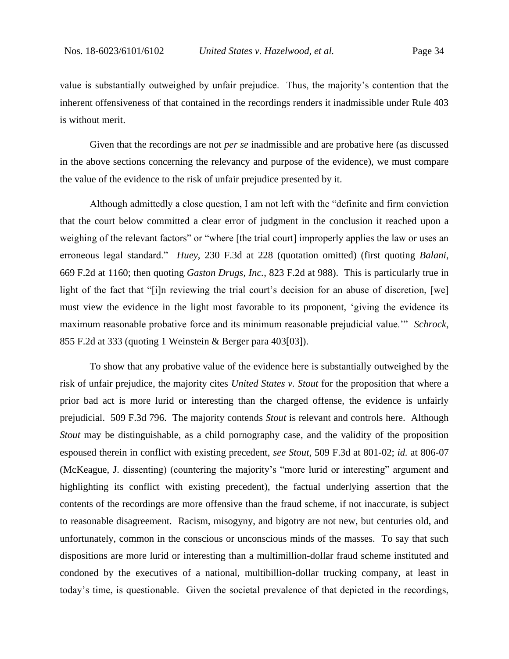value is substantially outweighed by unfair prejudice. Thus, the majority's contention that the inherent offensiveness of that contained in the recordings renders it inadmissible under Rule 403 is without merit.

Given that the recordings are not *per se* inadmissible and are probative here (as discussed in the above sections concerning the relevancy and purpose of the evidence), we must compare the value of the evidence to the risk of unfair prejudice presented by it.

Although admittedly a close question, I am not left with the "definite and firm conviction that the court below committed a clear error of judgment in the conclusion it reached upon a weighing of the relevant factors" or "where [the trial court] improperly applies the law or uses an erroneous legal standard." *Huey*, 230 F.3d at 228 (quotation omitted) (first quoting *Balani*, 669 F.2d at 1160; then quoting *Gaston Drugs, Inc.*, 823 F.2d at 988). This is particularly true in light of the fact that "[i]n reviewing the trial court's decision for an abuse of discretion, [we] must view the evidence in the light most favorable to its proponent, 'giving the evidence its maximum reasonable probative force and its minimum reasonable prejudicial value.'" *Schrock*, 855 F.2d at 333 (quoting 1 Weinstein & Berger para 403[03]).

To show that any probative value of the evidence here is substantially outweighed by the risk of unfair prejudice, the majority cites *United States v. Stout* for the proposition that where a prior bad act is more lurid or interesting than the charged offense, the evidence is unfairly prejudicial. 509 F.3d 796. The majority contends *Stout* is relevant and controls here. Although *Stout* may be distinguishable, as a child pornography case, and the validity of the proposition espoused therein in conflict with existing precedent, *see Stout*, 509 F.3d at 801-02; *id.* at 806-07 (McKeague, J. dissenting) (countering the majority's "more lurid or interesting" argument and highlighting its conflict with existing precedent), the factual underlying assertion that the contents of the recordings are more offensive than the fraud scheme, if not inaccurate, is subject to reasonable disagreement. Racism, misogyny, and bigotry are not new, but centuries old, and unfortunately, common in the conscious or unconscious minds of the masses. To say that such dispositions are more lurid or interesting than a multimillion-dollar fraud scheme instituted and condoned by the executives of a national, multibillion-dollar trucking company, at least in today's time, is questionable. Given the societal prevalence of that depicted in the recordings,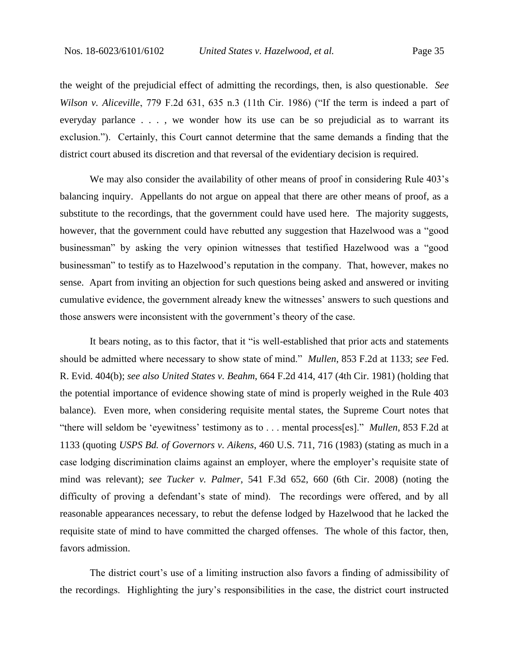the weight of the prejudicial effect of admitting the recordings, then, is also questionable. *See Wilson v. Aliceville*, 779 F.2d 631, 635 n.3 (11th Cir. 1986) ("If the term is indeed a part of everyday parlance . . . , we wonder how its use can be so prejudicial as to warrant its exclusion."). Certainly, this Court cannot determine that the same demands a finding that the district court abused its discretion and that reversal of the evidentiary decision is required.

We may also consider the availability of other means of proof in considering Rule 403's balancing inquiry. Appellants do not argue on appeal that there are other means of proof, as a substitute to the recordings, that the government could have used here. The majority suggests, however, that the government could have rebutted any suggestion that Hazelwood was a "good businessman" by asking the very opinion witnesses that testified Hazelwood was a "good businessman" to testify as to Hazelwood's reputation in the company. That, however, makes no sense. Apart from inviting an objection for such questions being asked and answered or inviting cumulative evidence, the government already knew the witnesses' answers to such questions and those answers were inconsistent with the government's theory of the case.

It bears noting, as to this factor, that it "is well-established that prior acts and statements should be admitted where necessary to show state of mind." *Mullen*, 853 F.2d at 1133; *see* Fed. R. Evid. 404(b); *see also United States v. Beahm*, 664 F.2d 414, 417 (4th Cir. 1981) (holding that the potential importance of evidence showing state of mind is properly weighed in the Rule 403 balance). Even more, when considering requisite mental states, the Supreme Court notes that "there will seldom be 'eyewitness' testimony as to . . . mental process[es]." *Mullen*, 853 F.2d at 1133 (quoting *USPS Bd. of Governors v. Aikens*, 460 U.S. 711, 716 (1983) (stating as much in a case lodging discrimination claims against an employer, where the employer's requisite state of mind was relevant); *see Tucker v. Palmer*, 541 F.3d 652, 660 (6th Cir. 2008) (noting the difficulty of proving a defendant's state of mind). The recordings were offered, and by all reasonable appearances necessary, to rebut the defense lodged by Hazelwood that he lacked the requisite state of mind to have committed the charged offenses. The whole of this factor, then, favors admission.

The district court's use of a limiting instruction also favors a finding of admissibility of the recordings. Highlighting the jury's responsibilities in the case, the district court instructed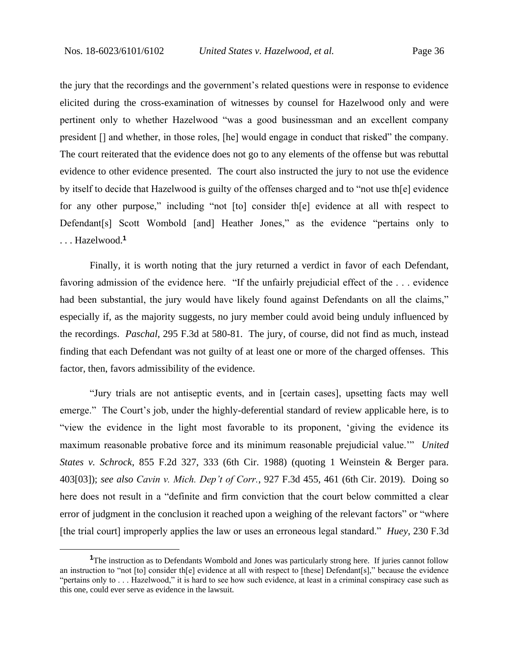the jury that the recordings and the government's related questions were in response to evidence elicited during the cross-examination of witnesses by counsel for Hazelwood only and were pertinent only to whether Hazelwood "was a good businessman and an excellent company president [] and whether, in those roles, [he] would engage in conduct that risked" the company. The court reiterated that the evidence does not go to any elements of the offense but was rebuttal evidence to other evidence presented. The court also instructed the jury to not use the evidence by itself to decide that Hazelwood is guilty of the offenses charged and to "not use th[e] evidence for any other purpose," including "not [to] consider th[e] evidence at all with respect to Defendant[s] Scott Wombold [and] Heather Jones," as the evidence "pertains only to . . . Hazelwood. **1**

Finally, it is worth noting that the jury returned a verdict in favor of each Defendant, favoring admission of the evidence here. "If the unfairly prejudicial effect of the . . . evidence had been substantial, the jury would have likely found against Defendants on all the claims," especially if, as the majority suggests, no jury member could avoid being unduly influenced by the recordings. *Paschal*, 295 F.3d at 580-81. The jury, of course, did not find as much, instead finding that each Defendant was not guilty of at least one or more of the charged offenses. This factor, then, favors admissibility of the evidence.

"Jury trials are not antiseptic events, and in [certain cases], upsetting facts may well emerge." The Court's job, under the highly-deferential standard of review applicable here, is to "view the evidence in the light most favorable to its proponent, 'giving the evidence its maximum reasonable probative force and its minimum reasonable prejudicial value.'" *United States v. Schrock*, 855 F.2d 327, 333 (6th Cir. 1988) (quoting 1 Weinstein & Berger para. 403[03]); *see also Cavin v. Mich. Dep't of Corr.*, 927 F.3d 455, 461 (6th Cir. 2019). Doing so here does not result in a "definite and firm conviction that the court below committed a clear error of judgment in the conclusion it reached upon a weighing of the relevant factors" or "where [the trial court] improperly applies the law or uses an erroneous legal standard." *Huey*, 230 F.3d

<sup>&</sup>lt;sup>1</sup>The instruction as to Defendants Wombold and Jones was particularly strong here. If juries cannot follow an instruction to "not [to] consider th[e] evidence at all with respect to [these] Defendant[s]," because the evidence "pertains only to . . . Hazelwood," it is hard to see how such evidence, at least in a criminal conspiracy case such as this one, could ever serve as evidence in the lawsuit.